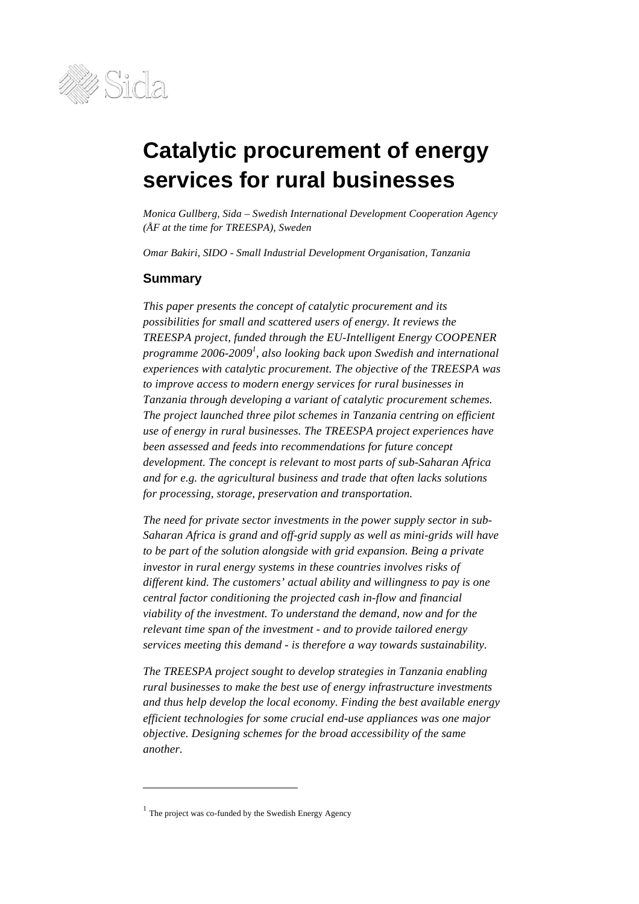

# **Catalytic procurement of energy services for rural businesses**

*Monica Gullberg, Sida – Swedish International Development Cooperation Agency (ÅF at the time for TREESPA), Sweden*

*Omar Bakiri, SIDO - Small Industrial Development Organisation, Tanzania*

#### **Summary**

*This paper presents the concept of catalytic procurement and its possibilities for small and scattered users of energy. It reviews the TREESPA project, funded through the EU-Intelligent Energy COOPENER programme 2006-2009<sup>1</sup> , also looking back upon Swedish and international experiences with catalytic procurement. The objective of the TREESPA was to improve access to modern energy services for rural businesses in Tanzania through developing a variant of catalytic procurement schemes. The project launched three pilot schemes in Tanzania centring on efficient use of energy in rural businesses. The TREESPA project experiences have been assessed and feeds into recommendations for future concept development. The concept is relevant to most parts of sub-Saharan Africa and for e.g. the agricultural business and trade that often lacks solutions for processing, storage, preservation and transportation.*

*The need for private sector investments in the power supply sector in sub-Saharan Africa is grand and off-grid supply as well as mini-grids will have to be part of the solution alongside with grid expansion. Being a private investor in rural energy systems in these countries involves risks of different kind. The customers' actual ability and willingness to pay is one central factor conditioning the projected cash in-flow and financial viability of the investment. To understand the demand, now and for the relevant time span of the investment - and to provide tailored energy services meeting this demand - is therefore a way towards sustainability.*

*The TREESPA project sought to develop strategies in Tanzania enabling rural businesses to make the best use of energy infrastructure investments and thus help develop the local economy. Finding the best available energy efficient technologies for some crucial end-use appliances was one major objective. Designing schemes for the broad accessibility of the same another.*

 $\overline{a}$ 

 $<sup>1</sup>$  The project was co-funded by the Swedish Energy Agency</sup>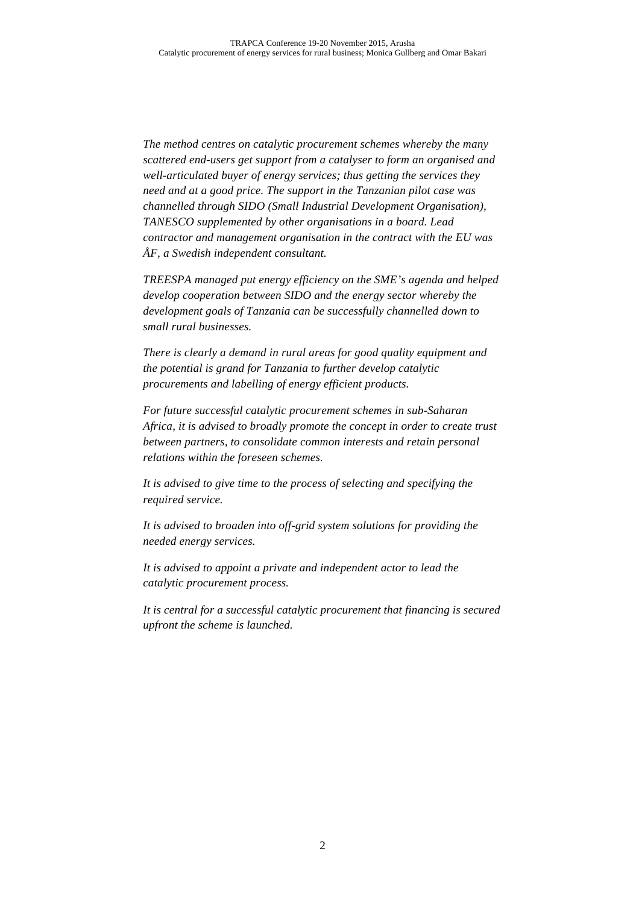*The method centres on catalytic procurement schemes whereby the many scattered end-users get support from a catalyser to form an organised and well-articulated buyer of energy services; thus getting the services they need and at a good price. The support in the Tanzanian pilot case was channelled through SIDO (Small Industrial Development Organisation), TANESCO supplemented by other organisations in a board. Lead contractor and management organisation in the contract with the EU was ÅF, a Swedish independent consultant.*

*TREESPA managed put energy efficiency on the SME's agenda and helped develop cooperation between SIDO and the energy sector whereby the development goals of Tanzania can be successfully channelled down to small rural businesses.*

*There is clearly a demand in rural areas for good quality equipment and the potential is grand for Tanzania to further develop catalytic procurements and labelling of energy efficient products.*

*For future successful catalytic procurement schemes in sub-Saharan Africa, it is advised to broadly promote the concept in order to create trust between partners, to consolidate common interests and retain personal relations within the foreseen schemes.*

*It is advised to give time to the process of selecting and specifying the required service.*

*It is advised to broaden into off-grid system solutions for providing the needed energy services.*

*It is advised to appoint a private and independent actor to lead the catalytic procurement process.*

*It is central for a successful catalytic procurement that financing is secured upfront the scheme is launched.*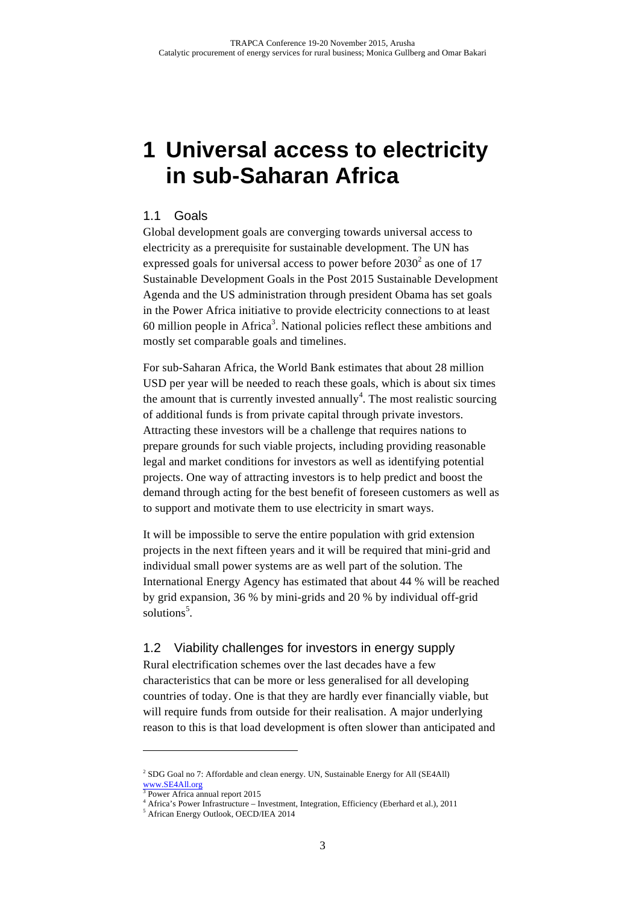# **1 Universal access to electricity in sub-Saharan Africa**

### 1.1 Goals

Global development goals are converging towards universal access to electricity as a prerequisite for sustainable development. The UN has expressed goals for universal access to power before  $2030<sup>2</sup>$  as one of 17 Sustainable Development Goals in the Post 2015 Sustainable Development Agenda and the US administration through president Obama has set goals in the Power Africa initiative to provide electricity connections to at least 60 million people in Africa<sup>3</sup>. National policies reflect these ambitions and mostly set comparable goals and timelines.

For sub-Saharan Africa, the World Bank estimates that about 28 million USD per year will be needed to reach these goals, which is about six times the amount that is currently invested annually<sup>4</sup>. The most realistic sourcing of additional funds is from private capital through private investors. Attracting these investors will be a challenge that requires nations to prepare grounds for such viable projects, including providing reasonable legal and market conditions for investors as well as identifying potential projects. One way of attracting investors is to help predict and boost the demand through acting for the best benefit of foreseen customers as well as to support and motivate them to use electricity in smart ways.

It will be impossible to serve the entire population with grid extension projects in the next fifteen years and it will be required that mini-grid and individual small power systems are as well part of the solution. The International Energy Agency has estimated that about 44 % will be reached by grid expansion, 36 % by mini-grids and 20 % by individual off-grid solutions<sup>5</sup>.

#### 1.2 Viability challenges for investors in energy supply

Rural electrification schemes over the last decades have a few characteristics that can be more or less generalised for all developing countries of today. One is that they are hardly ever financially viable, but will require funds from outside for their realisation. A major underlying reason to this is that load development is often slower than anticipated and

 $\overline{a}$ 

<sup>&</sup>lt;sup>2</sup> SDG Goal no 7: Affordable and clean energy. UN, Sustainable Energy for All (SE4All) www.SE4All.org

Power Africa annual report 2015

<sup>4</sup> Africa's Power Infrastructure – Investment, Integration, Efficiency (Eberhard et al.), 2011

<sup>5</sup> African Energy Outlook, OECD/IEA 2014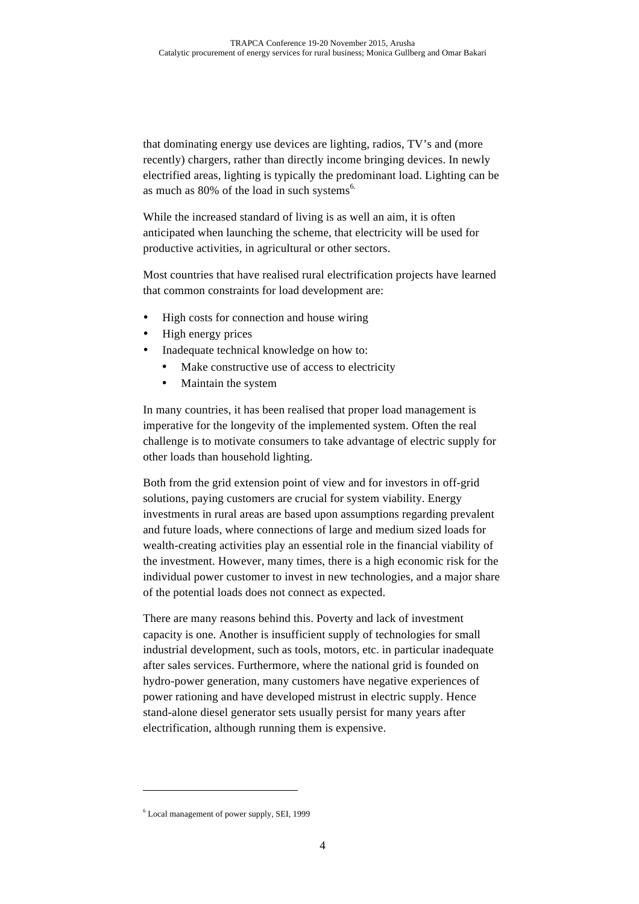that dominating energy use devices are lighting, radios, TV's and (more recently) chargers, rather than directly income bringing devices. In newly electrified areas, lighting is typically the predominant load. Lighting can be as much as 80% of the load in such systems<sup>6.</sup>

While the increased standard of living is as well an aim, it is often anticipated when launching the scheme, that electricity will be used for productive activities, in agricultural or other sectors.

Most countries that have realised rural electrification projects have learned that common constraints for load development are:

- High costs for connection and house wiring
- High energy prices
- Inadequate technical knowledge on how to:
	- Make constructive use of access to electricity
	- Maintain the system

In many countries, it has been realised that proper load management is imperative for the longevity of the implemented system. Often the real challenge is to motivate consumers to take advantage of electric supply for other loads than household lighting.

Both from the grid extension point of view and for investors in off-grid solutions, paying customers are crucial for system viability. Energy investments in rural areas are based upon assumptions regarding prevalent and future loads, where connections of large and medium sized loads for wealth-creating activities play an essential role in the financial viability of the investment. However, many times, there is a high economic risk for the individual power customer to invest in new technologies, and a major share of the potential loads does not connect as expected.

There are many reasons behind this. Poverty and lack of investment capacity is one. Another is insufficient supply of technologies for small industrial development, such as tools, motors, etc. in particular inadequate after sales services. Furthermore, where the national grid is founded on hydro-power generation, many customers have negative experiences of power rationing and have developed mistrust in electric supply. Hence stand-alone diesel generator sets usually persist for many years after electrification, although running them is expensive.

 $\ddot{ }$ 

<sup>6</sup> Local management of power supply, SEI, 1999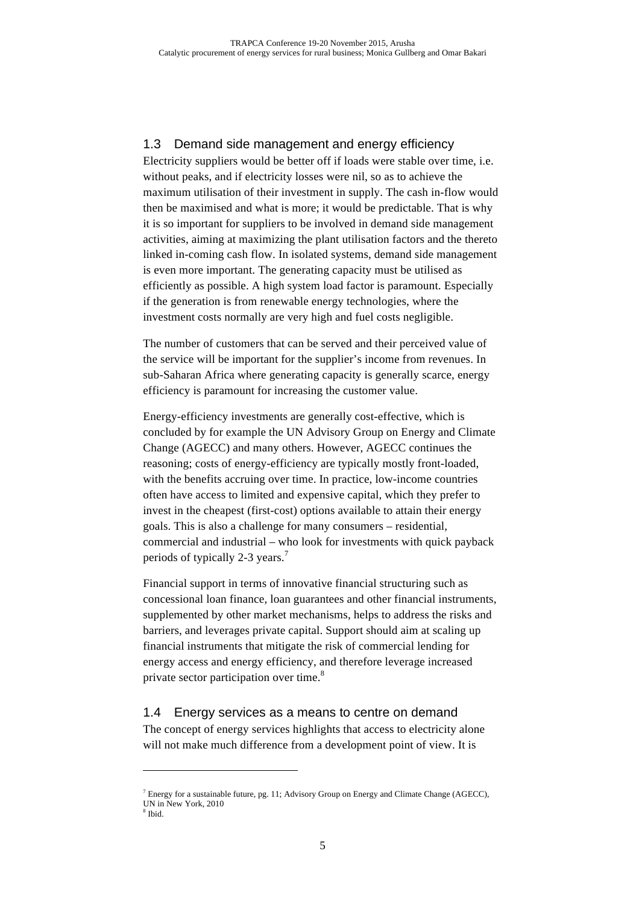### 1.3 Demand side management and energy efficiency

Electricity suppliers would be better off if loads were stable over time, i.e. without peaks, and if electricity losses were nil, so as to achieve the maximum utilisation of their investment in supply. The cash in-flow would then be maximised and what is more; it would be predictable. That is why it is so important for suppliers to be involved in demand side management activities, aiming at maximizing the plant utilisation factors and the thereto linked in-coming cash flow. In isolated systems, demand side management is even more important. The generating capacity must be utilised as efficiently as possible. A high system load factor is paramount. Especially if the generation is from renewable energy technologies, where the investment costs normally are very high and fuel costs negligible.

The number of customers that can be served and their perceived value of the service will be important for the supplier's income from revenues. In sub-Saharan Africa where generating capacity is generally scarce, energy efficiency is paramount for increasing the customer value.

Energy-efficiency investments are generally cost-effective, which is concluded by for example the UN Advisory Group on Energy and Climate Change (AGECC) and many others. However, AGECC continues the reasoning; costs of energy-efficiency are typically mostly front-loaded, with the benefits accruing over time. In practice, low-income countries often have access to limited and expensive capital, which they prefer to invest in the cheapest (first-cost) options available to attain their energy goals. This is also a challenge for many consumers – residential, commercial and industrial – who look for investments with quick payback periods of typically 2-3 years.<sup>7</sup>

Financial support in terms of innovative financial structuring such as concessional loan finance, loan guarantees and other financial instruments, supplemented by other market mechanisms, helps to address the risks and barriers, and leverages private capital. Support should aim at scaling up financial instruments that mitigate the risk of commercial lending for energy access and energy efficiency, and therefore leverage increased private sector participation over time.<sup>8</sup>

# 1.4 Energy services as a means to centre on demand

The concept of energy services highlights that access to electricity alone will not make much difference from a development point of view. It is

 $\overline{a}$ 

 $^7$  Energy for a sustainable future, pg. 11; Advisory Group on Energy and Climate Change (AGECC), UN in New York, 2010

<sup>8</sup> Ibid.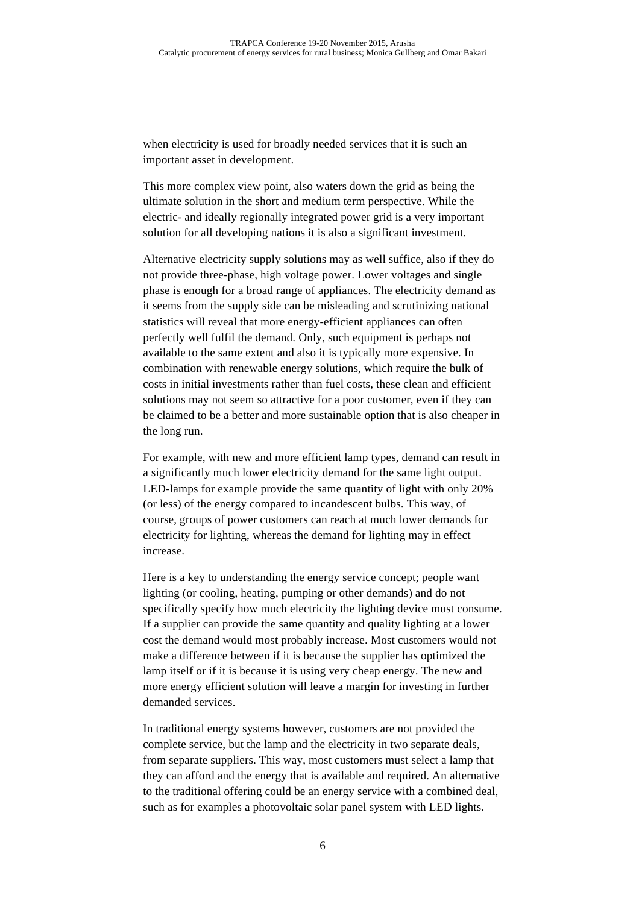when electricity is used for broadly needed services that it is such an important asset in development.

This more complex view point, also waters down the grid as being the ultimate solution in the short and medium term perspective. While the electric- and ideally regionally integrated power grid is a very important solution for all developing nations it is also a significant investment.

Alternative electricity supply solutions may as well suffice, also if they do not provide three-phase, high voltage power. Lower voltages and single phase is enough for a broad range of appliances. The electricity demand as it seems from the supply side can be misleading and scrutinizing national statistics will reveal that more energy-efficient appliances can often perfectly well fulfil the demand. Only, such equipment is perhaps not available to the same extent and also it is typically more expensive. In combination with renewable energy solutions, which require the bulk of costs in initial investments rather than fuel costs, these clean and efficient solutions may not seem so attractive for a poor customer, even if they can be claimed to be a better and more sustainable option that is also cheaper in the long run.

For example, with new and more efficient lamp types, demand can result in a significantly much lower electricity demand for the same light output. LED-lamps for example provide the same quantity of light with only 20% (or less) of the energy compared to incandescent bulbs. This way, of course, groups of power customers can reach at much lower demands for electricity for lighting, whereas the demand for lighting may in effect increase.

Here is a key to understanding the energy service concept; people want lighting (or cooling, heating, pumping or other demands) and do not specifically specify how much electricity the lighting device must consume. If a supplier can provide the same quantity and quality lighting at a lower cost the demand would most probably increase. Most customers would not make a difference between if it is because the supplier has optimized the lamp itself or if it is because it is using very cheap energy. The new and more energy efficient solution will leave a margin for investing in further demanded services.

In traditional energy systems however, customers are not provided the complete service, but the lamp and the electricity in two separate deals, from separate suppliers. This way, most customers must select a lamp that they can afford and the energy that is available and required. An alternative to the traditional offering could be an energy service with a combined deal, such as for examples a photovoltaic solar panel system with LED lights.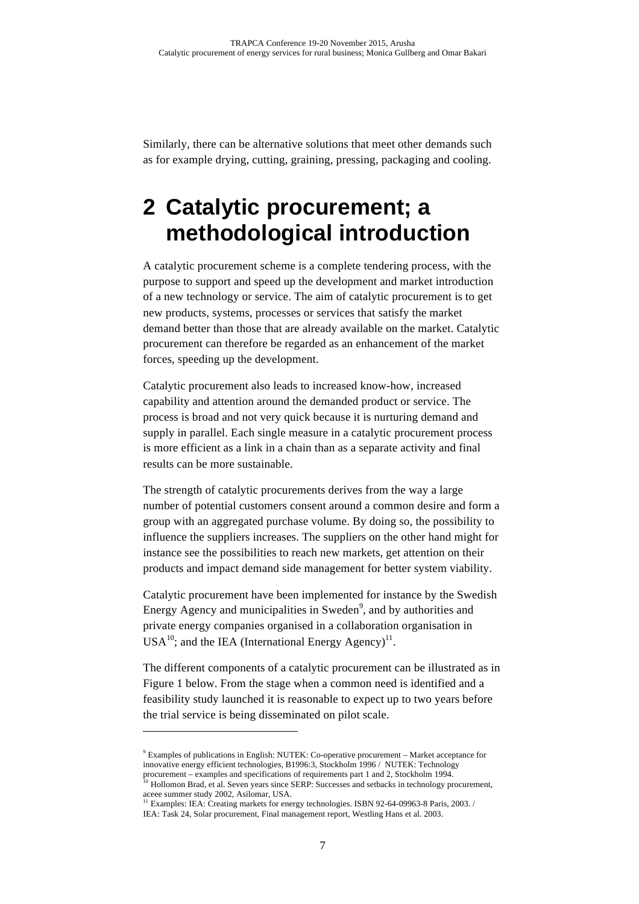Similarly, there can be alternative solutions that meet other demands such as for example drying, cutting, graining, pressing, packaging and cooling.

# **2 Catalytic procurement; a methodological introduction**

A catalytic procurement scheme is a complete tendering process, with the purpose to support and speed up the development and market introduction of a new technology or service. The aim of catalytic procurement is to get new products, systems, processes or services that satisfy the market demand better than those that are already available on the market. Catalytic procurement can therefore be regarded as an enhancement of the market forces, speeding up the development.

Catalytic procurement also leads to increased know-how, increased capability and attention around the demanded product or service. The process is broad and not very quick because it is nurturing demand and supply in parallel. Each single measure in a catalytic procurement process is more efficient as a link in a chain than as a separate activity and final results can be more sustainable.

The strength of catalytic procurements derives from the way a large number of potential customers consent around a common desire and form a group with an aggregated purchase volume. By doing so, the possibility to influence the suppliers increases. The suppliers on the other hand might for instance see the possibilities to reach new markets, get attention on their products and impact demand side management for better system viability.

Catalytic procurement have been implemented for instance by the Swedish Energy Agency and municipalities in Sweden<sup>9</sup>, and by authorities and private energy companies organised in a collaboration organisation in  $USA^{10}$ ; and the IEA (International Energy Agency)<sup>11</sup>.

The different components of a catalytic procurement can be illustrated as in Figure 1 below. From the stage when a common need is identified and a feasibility study launched it is reasonable to expect up to two years before the trial service is being disseminated on pilot scale.

 $\overline{a}$ 

 $9$  Examples of publications in English: NUTEK: Co-operative procurement – Market acceptance for innovative energy efficient technologies, B1996:3, Stockholm 1996 / NUTEK: Technology procurement – examples and specifications of requirements part 1 and 2, Stockholm 1994.

<sup>&</sup>lt;sup>1</sup> Hollomon Brad, et al. Seven years since SERP: Successes and setbacks in technology procurement,

aceee summer study 2002, Asilomar, USA.<br><sup>11</sup> Examples: IEA: Creating markets for energy technologies. ISBN 92-64-09963-8 Paris, 2003. / IEA: Task 24, Solar procurement, Final management report, Westling Hans et al. 2003.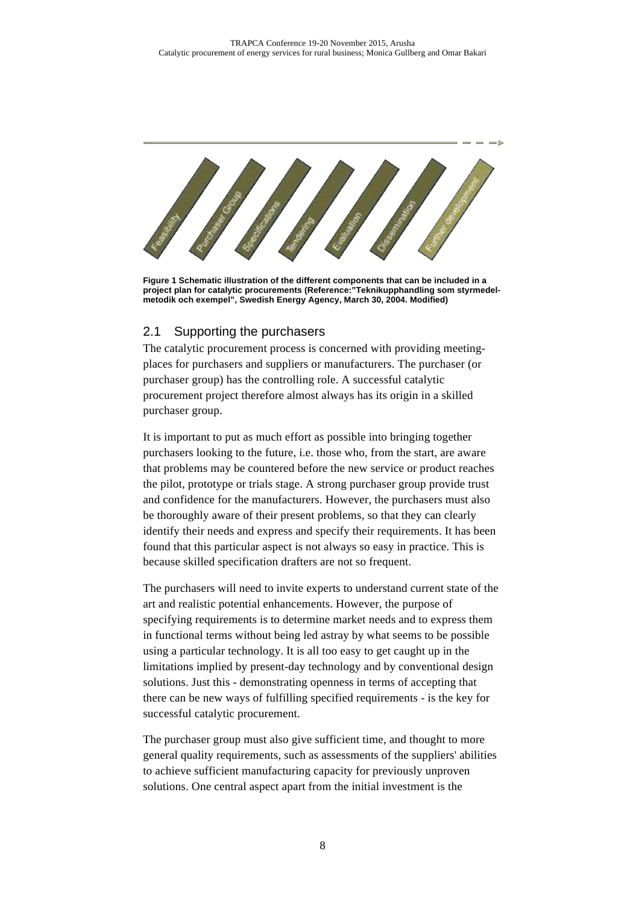

**Figure 1 Schematic illustration of the different components that can be included in a project plan for catalytic procurements (Reference:"Teknikupphandling som styrmedelmetodik och exempel", Swedish Energy Agency, March 30, 2004. Modified)**

#### 2.1 Supporting the purchasers

The catalytic procurement process is concerned with providing meetingplaces for purchasers and suppliers or manufacturers. The purchaser (or purchaser group) has the controlling role. A successful catalytic procurement project therefore almost always has its origin in a skilled purchaser group.

It is important to put as much effort as possible into bringing together purchasers looking to the future, i.e. those who, from the start, are aware that problems may be countered before the new service or product reaches the pilot, prototype or trials stage. A strong purchaser group provide trust and confidence for the manufacturers. However, the purchasers must also be thoroughly aware of their present problems, so that they can clearly identify their needs and express and specify their requirements. It has been found that this particular aspect is not always so easy in practice. This is because skilled specification drafters are not so frequent.

The purchasers will need to invite experts to understand current state of the art and realistic potential enhancements. However, the purpose of specifying requirements is to determine market needs and to express them in functional terms without being led astray by what seems to be possible using a particular technology. It is all too easy to get caught up in the limitations implied by present-day technology and by conventional design solutions. Just this - demonstrating openness in terms of accepting that there can be new ways of fulfilling specified requirements - is the key for successful catalytic procurement.

The purchaser group must also give sufficient time, and thought to more general quality requirements, such as assessments of the suppliers' abilities to achieve sufficient manufacturing capacity for previously unproven solutions. One central aspect apart from the initial investment is the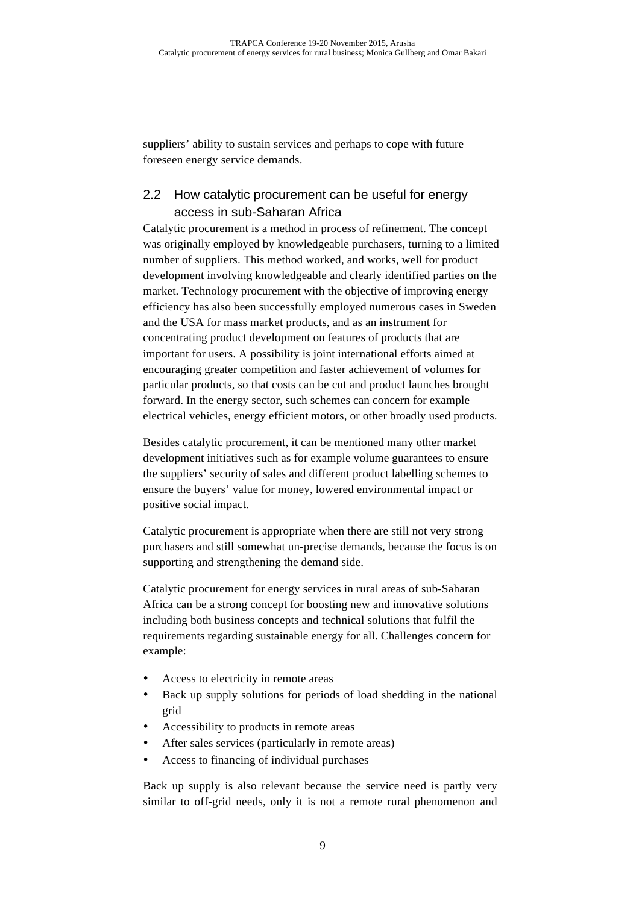suppliers' ability to sustain services and perhaps to cope with future foreseen energy service demands.

# 2.2 How catalytic procurement can be useful for energy access in sub-Saharan Africa

Catalytic procurement is a method in process of refinement. The concept was originally employed by knowledgeable purchasers, turning to a limited number of suppliers. This method worked, and works, well for product development involving knowledgeable and clearly identified parties on the market. Technology procurement with the objective of improving energy efficiency has also been successfully employed numerous cases in Sweden and the USA for mass market products, and as an instrument for concentrating product development on features of products that are important for users. A possibility is joint international efforts aimed at encouraging greater competition and faster achievement of volumes for particular products, so that costs can be cut and product launches brought forward. In the energy sector, such schemes can concern for example electrical vehicles, energy efficient motors, or other broadly used products.

Besides catalytic procurement, it can be mentioned many other market development initiatives such as for example volume guarantees to ensure the suppliers' security of sales and different product labelling schemes to ensure the buyers' value for money, lowered environmental impact or positive social impact.

Catalytic procurement is appropriate when there are still not very strong purchasers and still somewhat un-precise demands, because the focus is on supporting and strengthening the demand side.

Catalytic procurement for energy services in rural areas of sub-Saharan Africa can be a strong concept for boosting new and innovative solutions including both business concepts and technical solutions that fulfil the requirements regarding sustainable energy for all. Challenges concern for example:

- Access to electricity in remote areas
- Back up supply solutions for periods of load shedding in the national grid
- Accessibility to products in remote areas
- After sales services (particularly in remote areas)
- Access to financing of individual purchases

Back up supply is also relevant because the service need is partly very similar to off-grid needs, only it is not a remote rural phenomenon and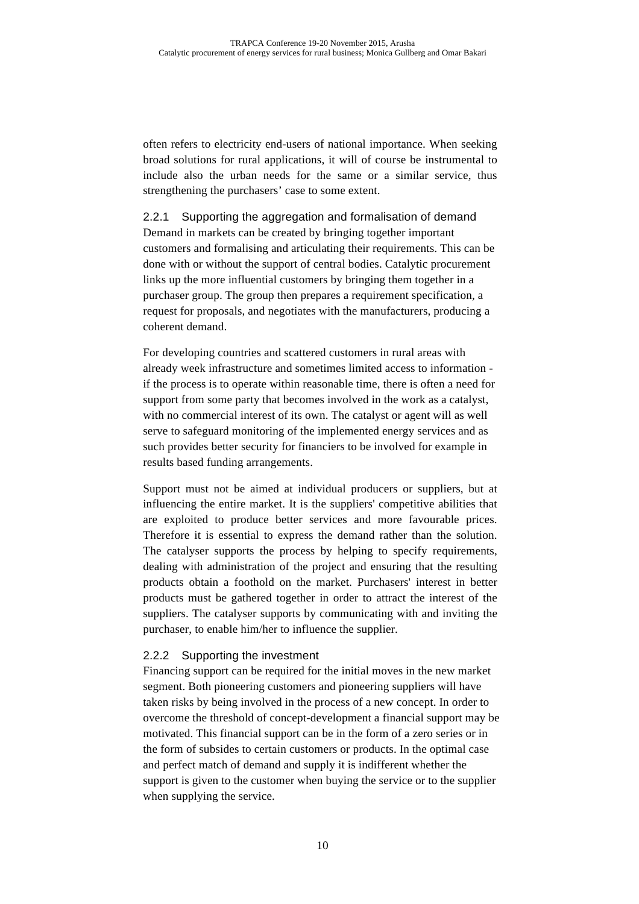often refers to electricity end-users of national importance. When seeking broad solutions for rural applications, it will of course be instrumental to include also the urban needs for the same or a similar service, thus strengthening the purchasers' case to some extent.

# 2.2.1 Supporting the aggregation and formalisation of demand

Demand in markets can be created by bringing together important customers and formalising and articulating their requirements. This can be done with or without the support of central bodies. Catalytic procurement links up the more influential customers by bringing them together in a purchaser group. The group then prepares a requirement specification, a request for proposals, and negotiates with the manufacturers, producing a coherent demand.

For developing countries and scattered customers in rural areas with already week infrastructure and sometimes limited access to information if the process is to operate within reasonable time, there is often a need for support from some party that becomes involved in the work as a catalyst, with no commercial interest of its own. The catalyst or agent will as well serve to safeguard monitoring of the implemented energy services and as such provides better security for financiers to be involved for example in results based funding arrangements.

Support must not be aimed at individual producers or suppliers, but at influencing the entire market. It is the suppliers' competitive abilities that are exploited to produce better services and more favourable prices. Therefore it is essential to express the demand rather than the solution. The catalyser supports the process by helping to specify requirements, dealing with administration of the project and ensuring that the resulting products obtain a foothold on the market. Purchasers' interest in better products must be gathered together in order to attract the interest of the suppliers. The catalyser supports by communicating with and inviting the purchaser, to enable him/her to influence the supplier.

#### 2.2.2 Supporting the investment

Financing support can be required for the initial moves in the new market segment. Both pioneering customers and pioneering suppliers will have taken risks by being involved in the process of a new concept. In order to overcome the threshold of concept-development a financial support may be motivated. This financial support can be in the form of a zero series or in the form of subsides to certain customers or products. In the optimal case and perfect match of demand and supply it is indifferent whether the support is given to the customer when buying the service or to the supplier when supplying the service.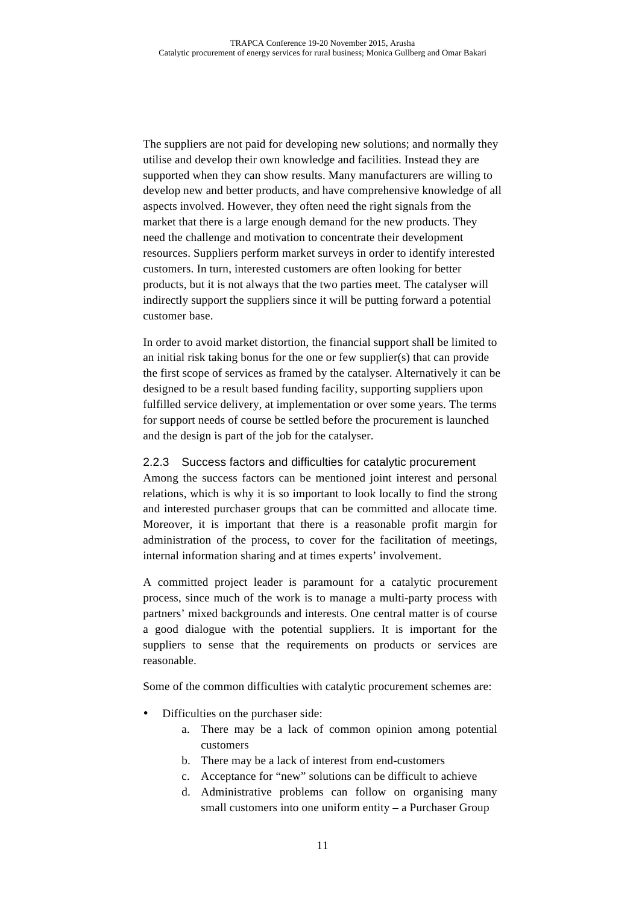The suppliers are not paid for developing new solutions; and normally they utilise and develop their own knowledge and facilities. Instead they are supported when they can show results. Many manufacturers are willing to develop new and better products, and have comprehensive knowledge of all aspects involved. However, they often need the right signals from the market that there is a large enough demand for the new products. They need the challenge and motivation to concentrate their development resources. Suppliers perform market surveys in order to identify interested customers. In turn, interested customers are often looking for better products, but it is not always that the two parties meet. The catalyser will indirectly support the suppliers since it will be putting forward a potential customer base.

In order to avoid market distortion, the financial support shall be limited to an initial risk taking bonus for the one or few supplier(s) that can provide the first scope of services as framed by the catalyser. Alternatively it can be designed to be a result based funding facility, supporting suppliers upon fulfilled service delivery, at implementation or over some years. The terms for support needs of course be settled before the procurement is launched and the design is part of the job for the catalyser.

#### 2.2.3 Success factors and difficulties for catalytic procurement

Among the success factors can be mentioned joint interest and personal relations, which is why it is so important to look locally to find the strong and interested purchaser groups that can be committed and allocate time. Moreover, it is important that there is a reasonable profit margin for administration of the process, to cover for the facilitation of meetings, internal information sharing and at times experts' involvement.

A committed project leader is paramount for a catalytic procurement process, since much of the work is to manage a multi-party process with partners' mixed backgrounds and interests. One central matter is of course a good dialogue with the potential suppliers. It is important for the suppliers to sense that the requirements on products or services are reasonable.

Some of the common difficulties with catalytic procurement schemes are:

- Difficulties on the purchaser side:
	- a. There may be a lack of common opinion among potential customers
	- b. There may be a lack of interest from end-customers
	- c. Acceptance for "new" solutions can be difficult to achieve
	- d. Administrative problems can follow on organising many small customers into one uniform entity – a Purchaser Group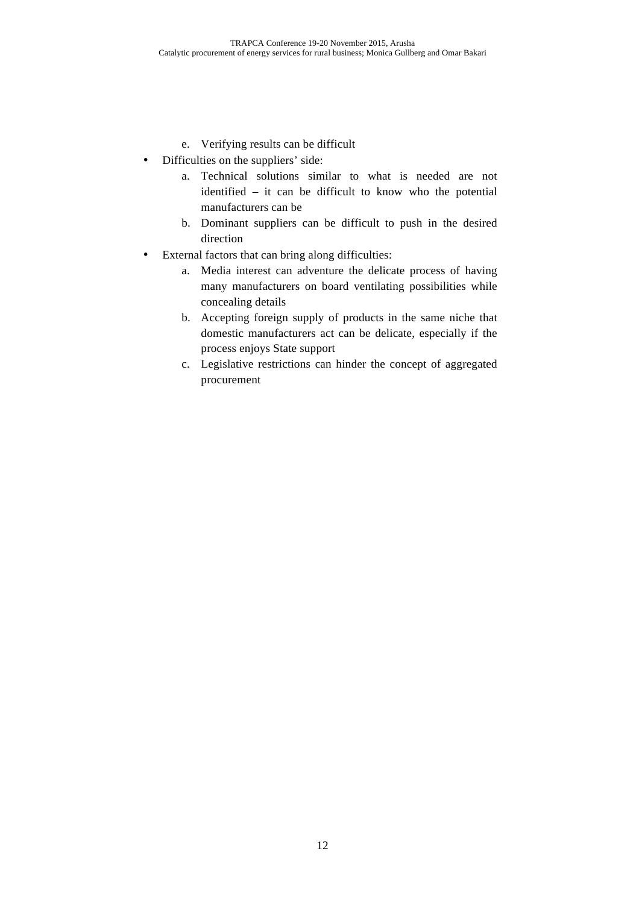- e. Verifying results can be difficult
- Difficulties on the suppliers' side:
	- a. Technical solutions similar to what is needed are not identified – it can be difficult to know who the potential manufacturers can be
	- b. Dominant suppliers can be difficult to push in the desired direction
- External factors that can bring along difficulties:
	- a. Media interest can adventure the delicate process of having many manufacturers on board ventilating possibilities while concealing details
	- b. Accepting foreign supply of products in the same niche that domestic manufacturers act can be delicate, especially if the process enjoys State support
	- c. Legislative restrictions can hinder the concept of aggregated procurement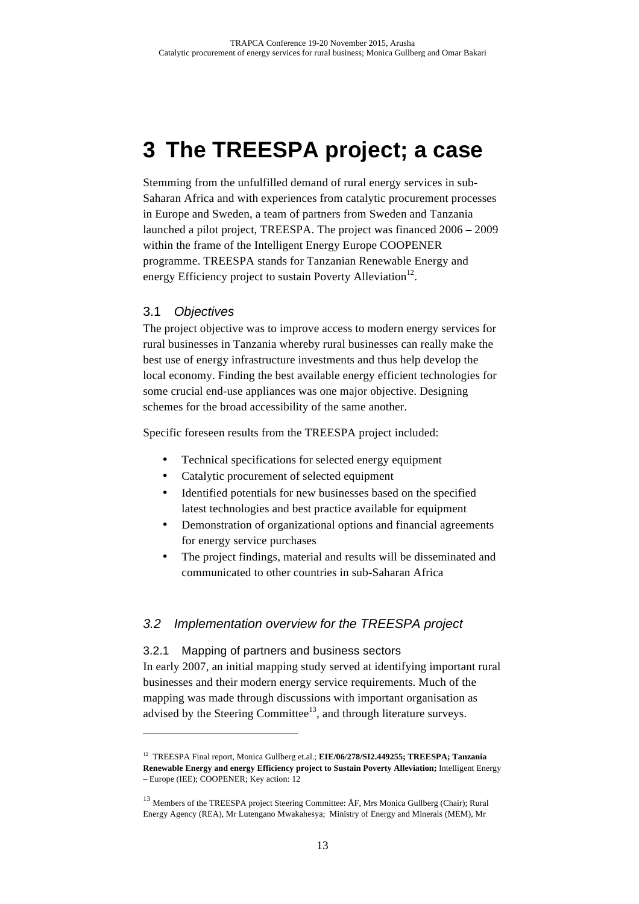# **3 The TREESPA project; a case**

Stemming from the unfulfilled demand of rural energy services in sub-Saharan Africa and with experiences from catalytic procurement processes in Europe and Sweden, a team of partners from Sweden and Tanzania launched a pilot project, TREESPA. The project was financed 2006 – 2009 within the frame of the Intelligent Energy Europe COOPENER programme. TREESPA stands for Tanzanian Renewable Energy and energy Efficiency project to sustain Poverty Alleviation<sup>12</sup>.

#### 3.1 Objectives

 $\overline{a}$ 

The project objective was to improve access to modern energy services for rural businesses in Tanzania whereby rural businesses can really make the best use of energy infrastructure investments and thus help develop the local economy. Finding the best available energy efficient technologies for some crucial end-use appliances was one major objective. Designing schemes for the broad accessibility of the same another.

Specific foreseen results from the TREESPA project included:

- Technical specifications for selected energy equipment
- Catalytic procurement of selected equipment
- Identified potentials for new businesses based on the specified latest technologies and best practice available for equipment
- Demonstration of organizational options and financial agreements for energy service purchases
- The project findings, material and results will be disseminated and communicated to other countries in sub-Saharan Africa

# 3.2 Implementation overview for the TREESPA project

#### 3.2.1 Mapping of partners and business sectors

In early 2007, an initial mapping study served at identifying important rural businesses and their modern energy service requirements. Much of the mapping was made through discussions with important organisation as advised by the Steering Committee<sup>13</sup>, and through literature surveys.

<sup>12</sup> TREESPA Final report, Monica Gullberg et.al.; **EIE/06/278/SI2.449255; TREESPA; Tanzania Renewable Energy and energy Efficiency project to Sustain Poverty Alleviation;** Intelligent Energy – Europe (IEE); COOPENER; Key action: 12

<sup>&</sup>lt;sup>13</sup> Members of the TREESPA project Steering Committee: ÅF, Mrs Monica Gullberg (Chair); Rural Energy Agency (REA), Mr Lutengano Mwakahesya; Ministry of Energy and Minerals (MEM), Mr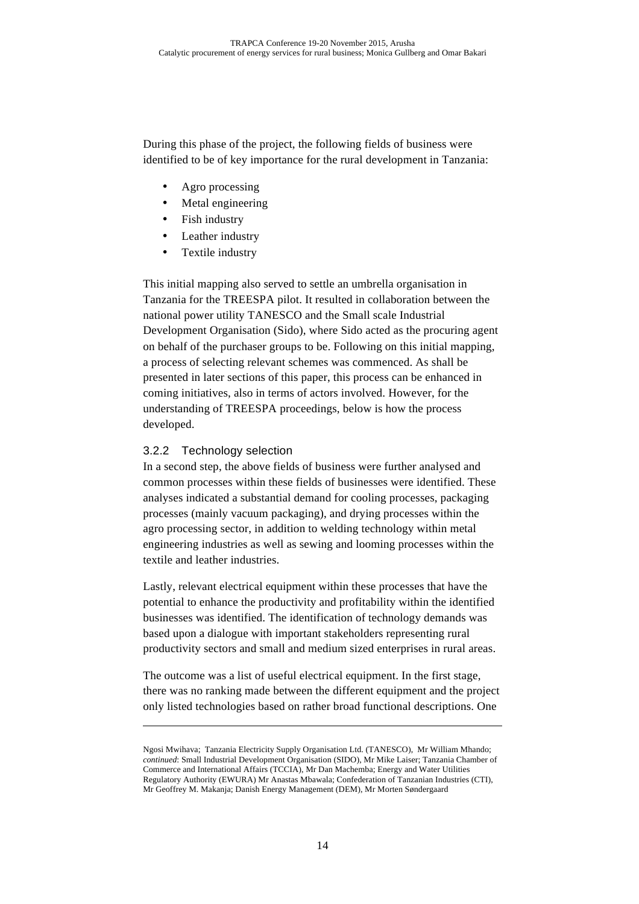During this phase of the project, the following fields of business were identified to be of key importance for the rural development in Tanzania:

- Agro processing
- Metal engineering
- Fish industry
- Leather industry
- Textile industry

This initial mapping also served to settle an umbrella organisation in Tanzania for the TREESPA pilot. It resulted in collaboration between the national power utility TANESCO and the Small scale Industrial Development Organisation (Sido), where Sido acted as the procuring agent on behalf of the purchaser groups to be. Following on this initial mapping, a process of selecting relevant schemes was commenced. As shall be presented in later sections of this paper, this process can be enhanced in coming initiatives, also in terms of actors involved. However, for the understanding of TREESPA proceedings, below is how the process developed.

#### 3.2.2 Technology selection

 $\overline{a}$ 

In a second step, the above fields of business were further analysed and common processes within these fields of businesses were identified. These analyses indicated a substantial demand for cooling processes, packaging processes (mainly vacuum packaging), and drying processes within the agro processing sector, in addition to welding technology within metal engineering industries as well as sewing and looming processes within the textile and leather industries.

Lastly, relevant electrical equipment within these processes that have the potential to enhance the productivity and profitability within the identified businesses was identified. The identification of technology demands was based upon a dialogue with important stakeholders representing rural productivity sectors and small and medium sized enterprises in rural areas.

The outcome was a list of useful electrical equipment. In the first stage, there was no ranking made between the different equipment and the project only listed technologies based on rather broad functional descriptions. One

Ngosi Mwihava; Tanzania Electricity Supply Organisation Ltd. (TANESCO), Mr William Mhando; *continued*: Small Industrial Development Organisation (SIDO), Mr Mike Laiser; Tanzania Chamber of Commerce and International Affairs (TCCIA), Mr Dan Machemba; Energy and Water Utilities Regulatory Authority (EWURA) Mr Anastas Mbawala; Confederation of Tanzanian Industries (CTI), Mr Geoffrey M. Makanja; Danish Energy Management (DEM), Mr Morten Søndergaard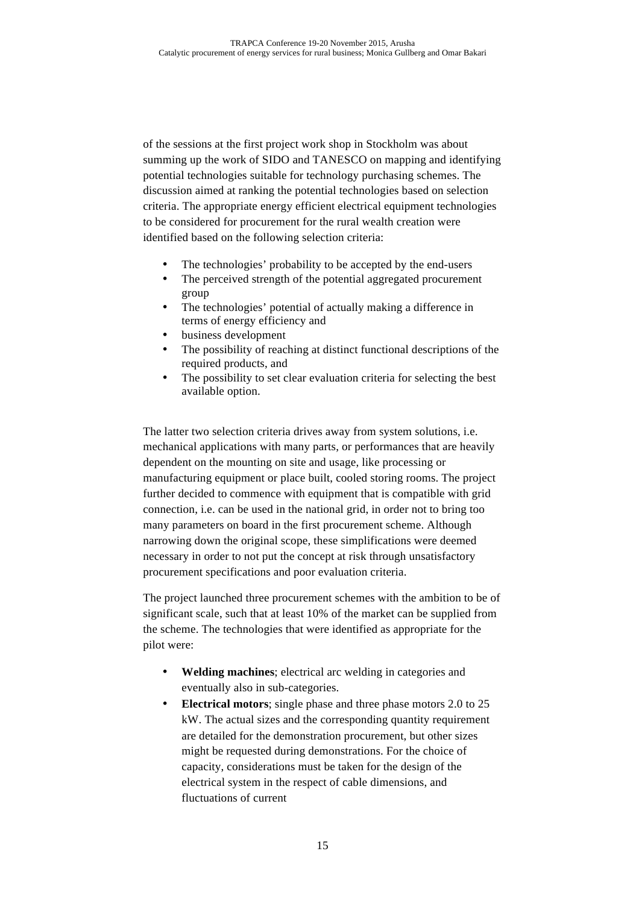of the sessions at the first project work shop in Stockholm was about summing up the work of SIDO and TANESCO on mapping and identifying potential technologies suitable for technology purchasing schemes. The discussion aimed at ranking the potential technologies based on selection criteria. The appropriate energy efficient electrical equipment technologies to be considered for procurement for the rural wealth creation were identified based on the following selection criteria:

- The technologies' probability to be accepted by the end-users
- The perceived strength of the potential aggregated procurement group
- The technologies' potential of actually making a difference in terms of energy efficiency and
- business development
- The possibility of reaching at distinct functional descriptions of the required products, and
- The possibility to set clear evaluation criteria for selecting the best available option.

The latter two selection criteria drives away from system solutions, i.e. mechanical applications with many parts, or performances that are heavily dependent on the mounting on site and usage, like processing or manufacturing equipment or place built, cooled storing rooms. The project further decided to commence with equipment that is compatible with grid connection, i.e. can be used in the national grid, in order not to bring too many parameters on board in the first procurement scheme. Although narrowing down the original scope, these simplifications were deemed necessary in order to not put the concept at risk through unsatisfactory procurement specifications and poor evaluation criteria.

The project launched three procurement schemes with the ambition to be of significant scale, such that at least 10% of the market can be supplied from the scheme. The technologies that were identified as appropriate for the pilot were:

- **Welding machines**; electrical arc welding in categories and eventually also in sub-categories.
- **Electrical motors**; single phase and three phase motors 2.0 to 25 kW. The actual sizes and the corresponding quantity requirement are detailed for the demonstration procurement, but other sizes might be requested during demonstrations. For the choice of capacity, considerations must be taken for the design of the electrical system in the respect of cable dimensions, and fluctuations of current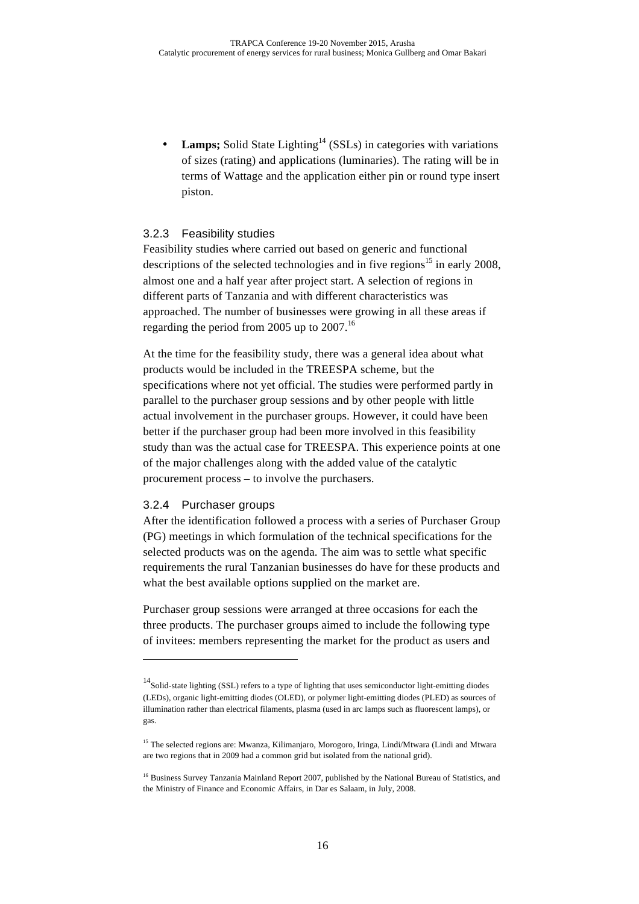**Lamps;** Solid State Lighting<sup>14</sup> (SSLs) in categories with variations of sizes (rating) and applications (luminaries). The rating will be in terms of Wattage and the application either pin or round type insert piston.

#### 3.2.3 Feasibility studies

Feasibility studies where carried out based on generic and functional descriptions of the selected technologies and in five regions<sup>15</sup> in early 2008, almost one and a half year after project start. A selection of regions in different parts of Tanzania and with different characteristics was approached. The number of businesses were growing in all these areas if regarding the period from 2005 up to  $2007$ .<sup>16</sup>

At the time for the feasibility study, there was a general idea about what products would be included in the TREESPA scheme, but the specifications where not yet official. The studies were performed partly in parallel to the purchaser group sessions and by other people with little actual involvement in the purchaser groups. However, it could have been better if the purchaser group had been more involved in this feasibility study than was the actual case for TREESPA. This experience points at one of the major challenges along with the added value of the catalytic procurement process – to involve the purchasers.

#### 3.2.4 Purchaser groups

 $\overline{a}$ 

After the identification followed a process with a series of Purchaser Group (PG) meetings in which formulation of the technical specifications for the selected products was on the agenda. The aim was to settle what specific requirements the rural Tanzanian businesses do have for these products and what the best available options supplied on the market are.

Purchaser group sessions were arranged at three occasions for each the three products. The purchaser groups aimed to include the following type of invitees: members representing the market for the product as users and

<sup>&</sup>lt;sup>14</sup>Solid-state lighting (SSL) refers to a type of lighting that uses semiconductor light-emitting diodes (LEDs), organic light-emitting diodes (OLED), or polymer light-emitting diodes (PLED) as sources of illumination rather than electrical filaments, plasma (used in arc lamps such as fluorescent lamps), or gas.

<sup>&</sup>lt;sup>15</sup> The selected regions are: Mwanza, Kilimanjaro, Morogoro, Iringa, Lindi/Mtwara (Lindi and Mtwara are two regions that in 2009 had a common grid but isolated from the national grid).

<sup>&</sup>lt;sup>16</sup> Business Survey Tanzania Mainland Report 2007, published by the National Bureau of Statistics, and the Ministry of Finance and Economic Affairs, in Dar es Salaam, in July, 2008.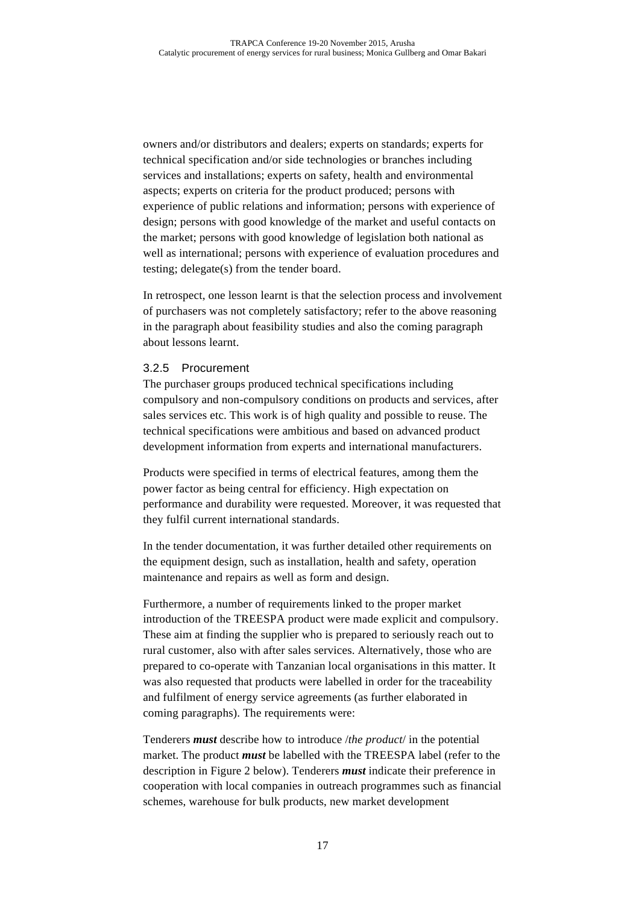owners and/or distributors and dealers; experts on standards; experts for technical specification and/or side technologies or branches including services and installations; experts on safety, health and environmental aspects; experts on criteria for the product produced; persons with experience of public relations and information; persons with experience of design; persons with good knowledge of the market and useful contacts on the market; persons with good knowledge of legislation both national as well as international; persons with experience of evaluation procedures and testing; delegate(s) from the tender board.

In retrospect, one lesson learnt is that the selection process and involvement of purchasers was not completely satisfactory; refer to the above reasoning in the paragraph about feasibility studies and also the coming paragraph about lessons learnt.

#### 3.2.5 Procurement

The purchaser groups produced technical specifications including compulsory and non-compulsory conditions on products and services, after sales services etc. This work is of high quality and possible to reuse. The technical specifications were ambitious and based on advanced product development information from experts and international manufacturers.

Products were specified in terms of electrical features, among them the power factor as being central for efficiency. High expectation on performance and durability were requested. Moreover, it was requested that they fulfil current international standards.

In the tender documentation, it was further detailed other requirements on the equipment design, such as installation, health and safety, operation maintenance and repairs as well as form and design.

Furthermore, a number of requirements linked to the proper market introduction of the TREESPA product were made explicit and compulsory. These aim at finding the supplier who is prepared to seriously reach out to rural customer, also with after sales services. Alternatively, those who are prepared to co-operate with Tanzanian local organisations in this matter. It was also requested that products were labelled in order for the traceability and fulfilment of energy service agreements (as further elaborated in coming paragraphs). The requirements were:

Tenderers *must* describe how to introduce /*the product*/ in the potential market. The product *must* be labelled with the TREESPA label (refer to the description in Figure 2 below). Tenderers *must* indicate their preference in cooperation with local companies in outreach programmes such as financial schemes, warehouse for bulk products, new market development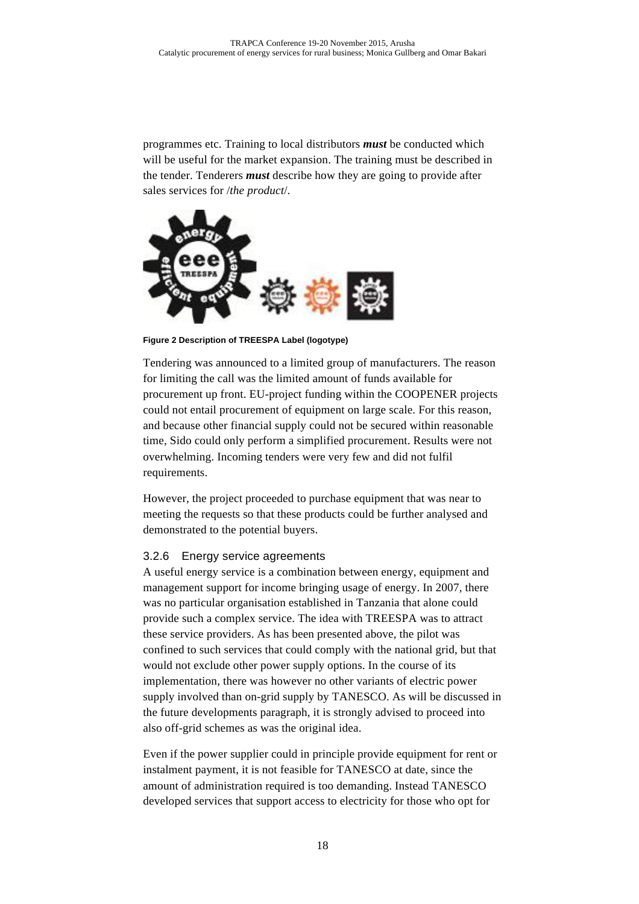programmes etc. Training to local distributors *must* be conducted which will be useful for the market expansion. The training must be described in the tender. Tenderers *must* describe how they are going to provide after sales services for /*the product*/.



**Figure 2 Description of TREESPA Label (logotype)**

Tendering was announced to a limited group of manufacturers. The reason for limiting the call was the limited amount of funds available for procurement up front. EU-project funding within the COOPENER projects could not entail procurement of equipment on large scale. For this reason, and because other financial supply could not be secured within reasonable time, Sido could only perform a simplified procurement. Results were not overwhelming. Incoming tenders were very few and did not fulfil requirements.

However, the project proceeded to purchase equipment that was near to meeting the requests so that these products could be further analysed and demonstrated to the potential buyers.

#### 3.2.6 Energy service agreements

A useful energy service is a combination between energy, equipment and management support for income bringing usage of energy. In 2007, there was no particular organisation established in Tanzania that alone could provide such a complex service. The idea with TREESPA was to attract these service providers. As has been presented above, the pilot was confined to such services that could comply with the national grid, but that would not exclude other power supply options. In the course of its implementation, there was however no other variants of electric power supply involved than on-grid supply by TANESCO. As will be discussed in the future developments paragraph, it is strongly advised to proceed into also off-grid schemes as was the original idea.

Even if the power supplier could in principle provide equipment for rent or instalment payment, it is not feasible for TANESCO at date, since the amount of administration required is too demanding. Instead TANESCO developed services that support access to electricity for those who opt for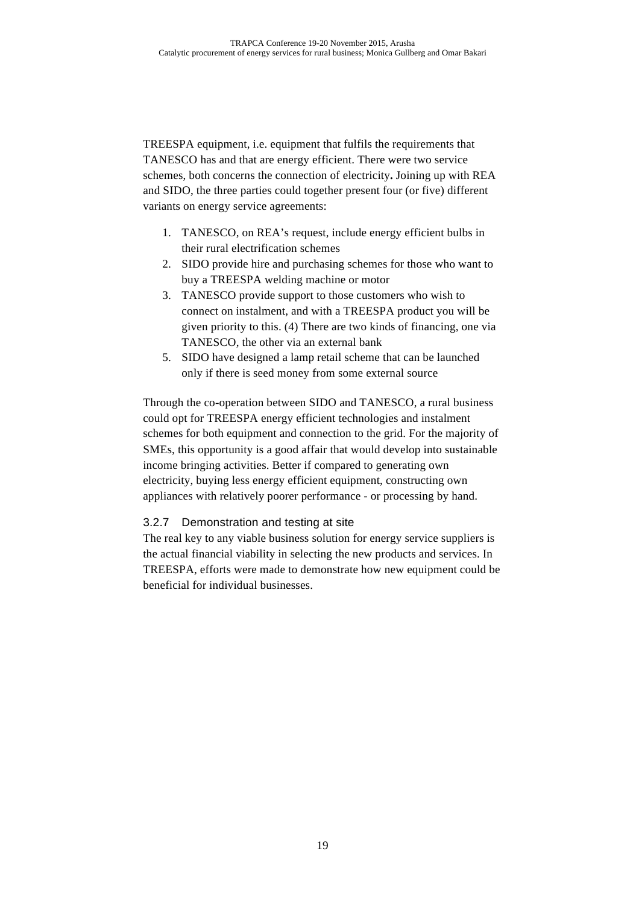TREESPA equipment, i.e. equipment that fulfils the requirements that TANESCO has and that are energy efficient. There were two service schemes, both concerns the connection of electricity**.** Joining up with REA and SIDO, the three parties could together present four (or five) different variants on energy service agreements:

- 1. TANESCO, on REA's request, include energy efficient bulbs in their rural electrification schemes
- 2. SIDO provide hire and purchasing schemes for those who want to buy a TREESPA welding machine or motor
- 3. TANESCO provide support to those customers who wish to connect on instalment, and with a TREESPA product you will be given priority to this. (4) There are two kinds of financing, one via TANESCO, the other via an external bank
- 5. SIDO have designed a lamp retail scheme that can be launched only if there is seed money from some external source

Through the co-operation between SIDO and TANESCO, a rural business could opt for TREESPA energy efficient technologies and instalment schemes for both equipment and connection to the grid. For the majority of SMEs, this opportunity is a good affair that would develop into sustainable income bringing activities. Better if compared to generating own electricity, buying less energy efficient equipment, constructing own appliances with relatively poorer performance - or processing by hand.

#### 3.2.7 Demonstration and testing at site

The real key to any viable business solution for energy service suppliers is the actual financial viability in selecting the new products and services. In TREESPA, efforts were made to demonstrate how new equipment could be beneficial for individual businesses.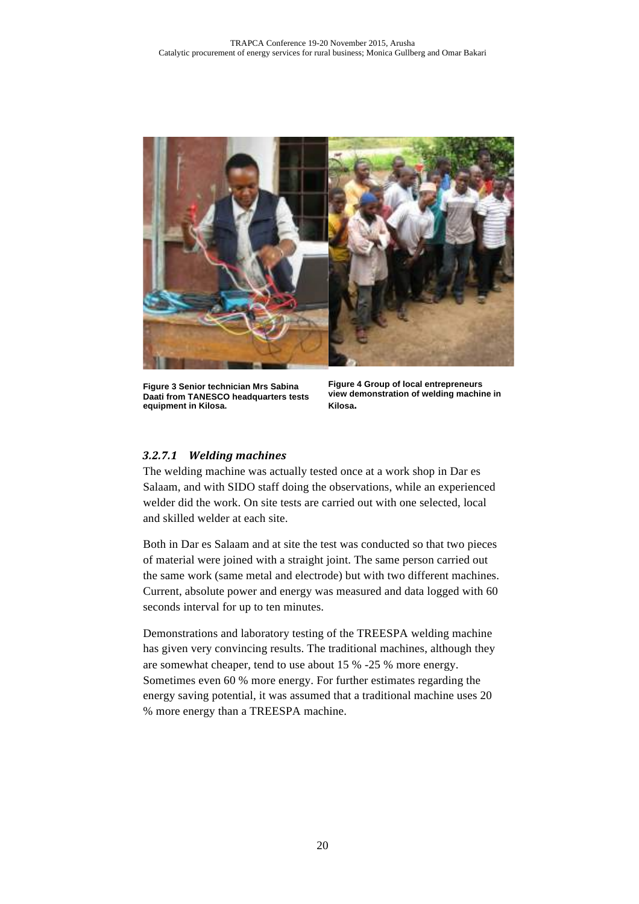

**Figure 3 Senior technician Mrs Sabina Daati from TANESCO headquarters tests equipment in Kilosa.**

**Figure 4 Group of local entrepreneurs view demonstration of welding machine in Kilosa.**

#### *3.2.7.1 Welding machines*

The welding machine was actually tested once at a work shop in Dar es Salaam, and with SIDO staff doing the observations, while an experienced welder did the work. On site tests are carried out with one selected, local and skilled welder at each site.

Both in Dar es Salaam and at site the test was conducted so that two pieces of material were joined with a straight joint. The same person carried out the same work (same metal and electrode) but with two different machines. Current, absolute power and energy was measured and data logged with 60 seconds interval for up to ten minutes.

Demonstrations and laboratory testing of the TREESPA welding machine has given very convincing results. The traditional machines, although they are somewhat cheaper, tend to use about 15 % -25 % more energy. Sometimes even 60 % more energy. For further estimates regarding the energy saving potential, it was assumed that a traditional machine uses 20 % more energy than a TREESPA machine.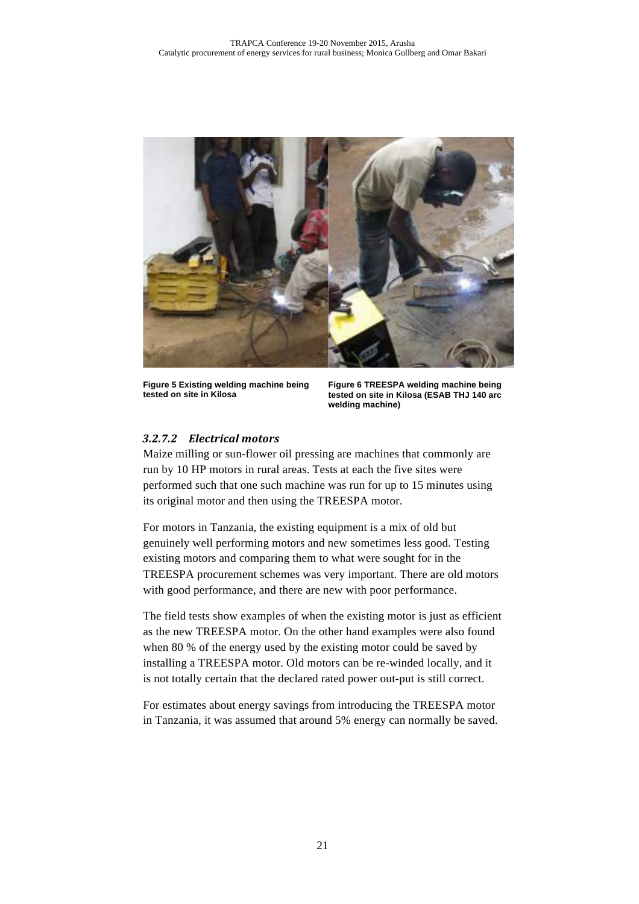

**Figure 5 Existing welding machine being tested on site in Kilosa**

**Figure 6 TREESPA welding machine being tested on site in Kilosa (ESAB THJ 140 arc welding machine)**

#### *3.2.7.2 Electrical motors*

Maize milling or sun-flower oil pressing are machines that commonly are run by 10 HP motors in rural areas. Tests at each the five sites were performed such that one such machine was run for up to 15 minutes using its original motor and then using the TREESPA motor.

For motors in Tanzania, the existing equipment is a mix of old but genuinely well performing motors and new sometimes less good. Testing existing motors and comparing them to what were sought for in the TREESPA procurement schemes was very important. There are old motors with good performance, and there are new with poor performance.

The field tests show examples of when the existing motor is just as efficient as the new TREESPA motor. On the other hand examples were also found when 80 % of the energy used by the existing motor could be saved by installing a TREESPA motor. Old motors can be re-winded locally, and it is not totally certain that the declared rated power out-put is still correct.

For estimates about energy savings from introducing the TREESPA motor in Tanzania, it was assumed that around 5% energy can normally be saved.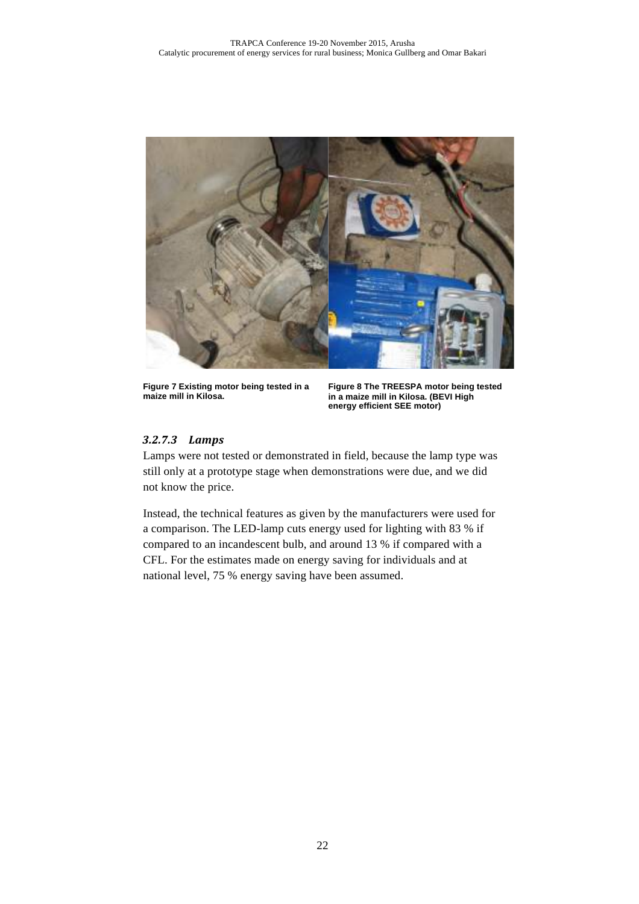

**Figure 7 Existing motor being tested in a maize mill in Kilosa.**

**Figure 8 The TREESPA motor being tested in a maize mill in Kilosa. (BEVI High energy efficient SEE motor)**

#### *3.2.7.3 Lamps*

Lamps were not tested or demonstrated in field, because the lamp type was still only at a prototype stage when demonstrations were due, and we did not know the price.

Instead, the technical features as given by the manufacturers were used for a comparison. The LED-lamp cuts energy used for lighting with 83 % if compared to an incandescent bulb, and around 13 % if compared with a CFL. For the estimates made on energy saving for individuals and at national level, 75 % energy saving have been assumed.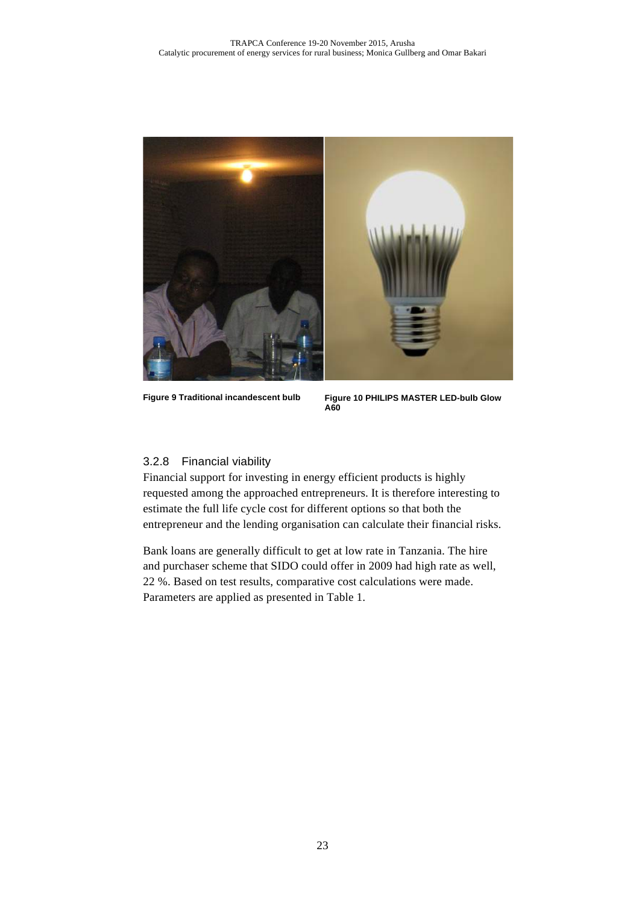

**Figure 9 Traditional incandescent bulb Figure 10 PHILIPS MASTER LED-bulb Glow A60**

#### 3.2.8 Financial viability

Financial support for investing in energy efficient products is highly requested among the approached entrepreneurs. It is therefore interesting to estimate the full life cycle cost for different options so that both the entrepreneur and the lending organisation can calculate their financial risks.

Bank loans are generally difficult to get at low rate in Tanzania. The hire and purchaser scheme that SIDO could offer in 2009 had high rate as well, 22 %. Based on test results, comparative cost calculations were made. Parameters are applied as presented in Table 1.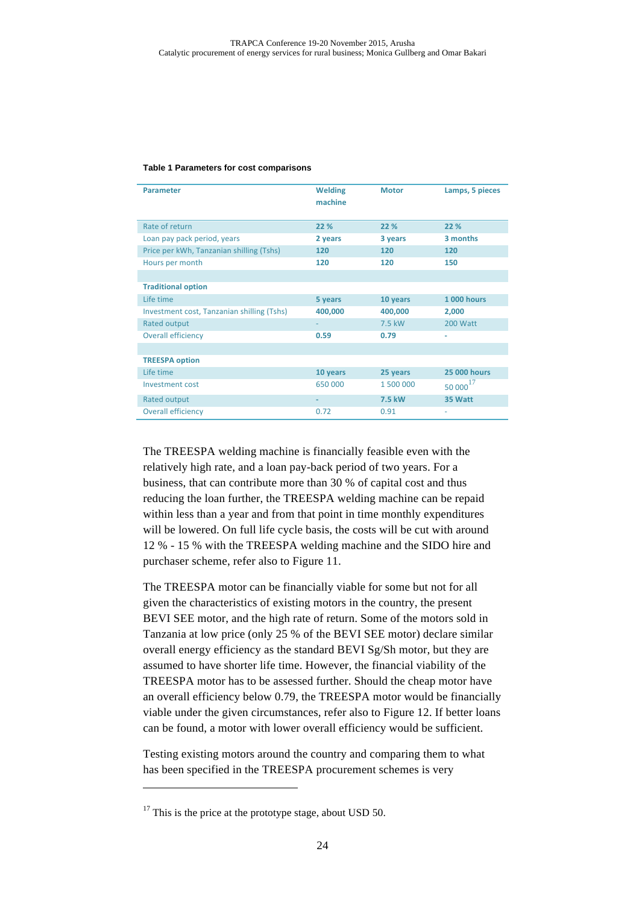#### **Table 1 Parameters for cost comparisons**

| <b>Parameter</b>                           | <b>Welding</b><br>machine | <b>Motor</b> | Lamps, 5 pieces      |
|--------------------------------------------|---------------------------|--------------|----------------------|
| Rate of return                             | 22 %                      | 22 %         | 22 %                 |
| Loan pay pack period, years                | 2 years                   | 3 years      | 3 months             |
| Price per kWh, Tanzanian shilling (Tshs)   | 120                       | 120          | 120                  |
| Hours per month                            | 120                       | 120          | 150                  |
|                                            |                           |              |                      |
| <b>Traditional option</b>                  |                           |              |                      |
| Life time                                  | 5 years                   | 10 years     | <b>1 000 hours</b>   |
| Investment cost, Tanzanian shilling (Tshs) | 400,000                   | 400,000      | 2,000                |
| Rated output                               |                           | 7.5 kW       | 200 Watt             |
| <b>Overall efficiency</b>                  | 0.59                      | 0.79         |                      |
|                                            |                           |              |                      |
| <b>TREESPA option</b>                      |                           |              |                      |
| Life time                                  | 10 years                  | 25 years     | <b>25 000 hours</b>  |
| Investment cost                            | 650 000                   | 1 500 000    | 50 000 <sup>17</sup> |
| Rated output                               |                           | 7.5 kW       | 35 Watt              |
| <b>Overall efficiency</b>                  | 0.72                      | 0.91         |                      |

The TREESPA welding machine is financially feasible even with the relatively high rate, and a loan pay-back period of two years. For a business, that can contribute more than 30 % of capital cost and thus reducing the loan further, the TREESPA welding machine can be repaid within less than a year and from that point in time monthly expenditures will be lowered. On full life cycle basis, the costs will be cut with around 12 % - 15 % with the TREESPA welding machine and the SIDO hire and purchaser scheme, refer also to Figure 11.

The TREESPA motor can be financially viable for some but not for all given the characteristics of existing motors in the country, the present BEVI SEE motor, and the high rate of return. Some of the motors sold in Tanzania at low price (only 25 % of the BEVI SEE motor) declare similar overall energy efficiency as the standard BEVI Sg/Sh motor, but they are assumed to have shorter life time. However, the financial viability of the TREESPA motor has to be assessed further. Should the cheap motor have an overall efficiency below 0.79, the TREESPA motor would be financially viable under the given circumstances, refer also to Figure 12. If better loans can be found, a motor with lower overall efficiency would be sufficient.

Testing existing motors around the country and comparing them to what has been specified in the TREESPA procurement schemes is very

 $\overline{a}$ 

 $17$  This is the price at the prototype stage, about USD 50.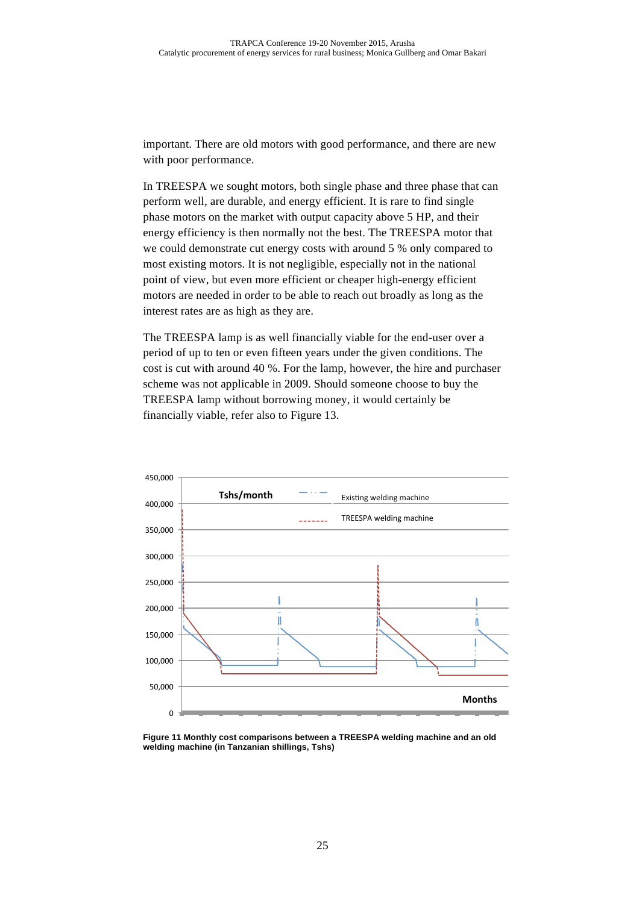important. There are old motors with good performance, and there are new with poor performance.

In TREESPA we sought motors, both single phase and three phase that can perform well, are durable, and energy efficient. It is rare to find single phase motors on the market with output capacity above 5 HP, and their energy efficiency is then normally not the best. The TREESPA motor that we could demonstrate cut energy costs with around 5 % only compared to most existing motors. It is not negligible, especially not in the national point of view, but even more efficient or cheaper high-energy efficient motors are needed in order to be able to reach out broadly as long as the interest rates are as high as they are.

The TREESPA lamp is as well financially viable for the end-user over a period of up to ten or even fifteen years under the given conditions. The cost is cut with around 40 %. For the lamp, however, the hire and purchaser scheme was not applicable in 2009. Should someone choose to buy the TREESPA lamp without borrowing money, it would certainly be financially viable, refer also to Figure 13.



**Figure 11 Monthly cost comparisons between a TREESPA welding machine and an old welding machine (in Tanzanian shillings, Tshs)**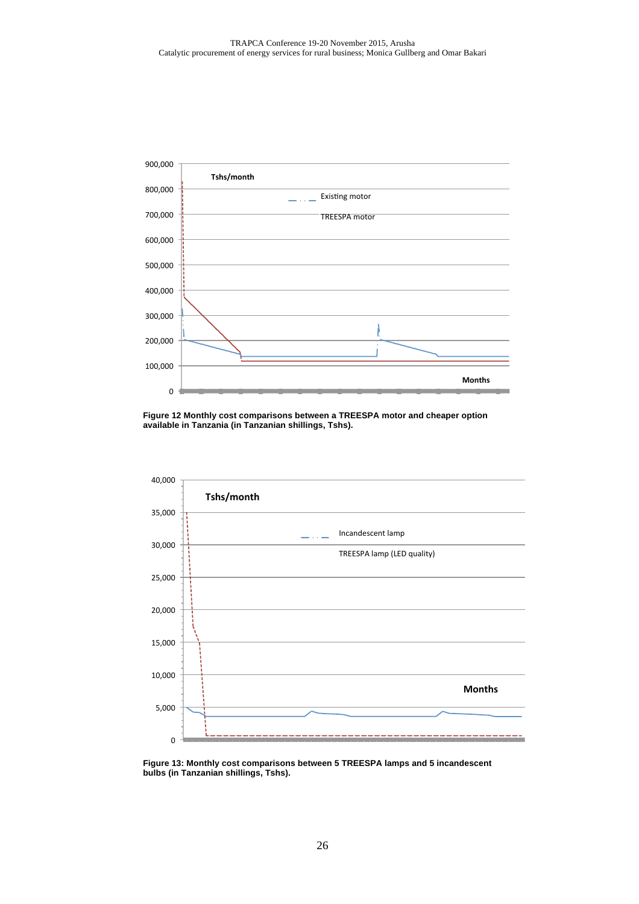

**Figure 12 Monthly cost comparisons between a TREESPA motor and cheaper option available in Tanzania (in Tanzanian shillings, Tshs).**



**Figure 13: Monthly cost comparisons between 5 TREESPA lamps and 5 incandescent bulbs (in Tanzanian shillings, Tshs).**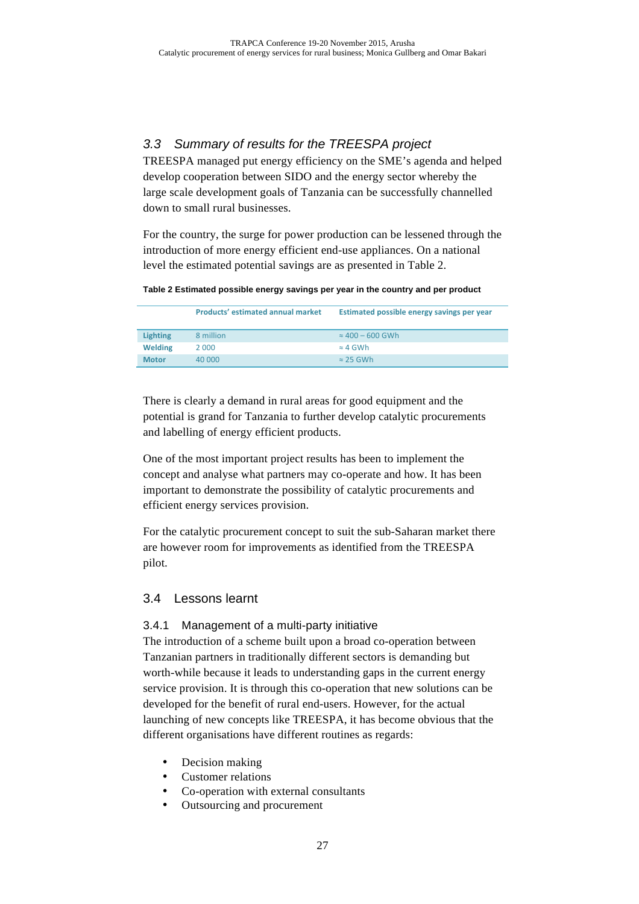# 3.3 Summary of results for the TREESPA project

TREESPA managed put energy efficiency on the SME's agenda and helped develop cooperation between SIDO and the energy sector whereby the large scale development goals of Tanzania can be successfully channelled down to small rural businesses.

For the country, the surge for power production can be lessened through the introduction of more energy efficient end-use appliances. On a national level the estimated potential savings are as presented in Table 2.

**Table 2 Estimated possible energy savings per year in the country and per product**

|                 | <b>Products' estimated annual market</b> | Estimated possible energy savings per year |
|-----------------|------------------------------------------|--------------------------------------------|
| <b>Lighting</b> | 8 million                                | $\approx 400 - 600$ GWh                    |
| <b>Welding</b>  | 2 000                                    | $\approx$ 4 GWh                            |
| <b>Motor</b>    | 40,000                                   | $\approx$ 25 GWh                           |

There is clearly a demand in rural areas for good equipment and the potential is grand for Tanzania to further develop catalytic procurements and labelling of energy efficient products.

One of the most important project results has been to implement the concept and analyse what partners may co-operate and how. It has been important to demonstrate the possibility of catalytic procurements and efficient energy services provision.

For the catalytic procurement concept to suit the sub-Saharan market there are however room for improvements as identified from the TREESPA pilot.

# 3.4 Lessons learnt

# 3.4.1 Management of a multi-party initiative

The introduction of a scheme built upon a broad co-operation between Tanzanian partners in traditionally different sectors is demanding but worth-while because it leads to understanding gaps in the current energy service provision. It is through this co-operation that new solutions can be developed for the benefit of rural end-users. However, for the actual launching of new concepts like TREESPA, it has become obvious that the different organisations have different routines as regards:

- Decision making
- Customer relations
- Co-operation with external consultants
- Outsourcing and procurement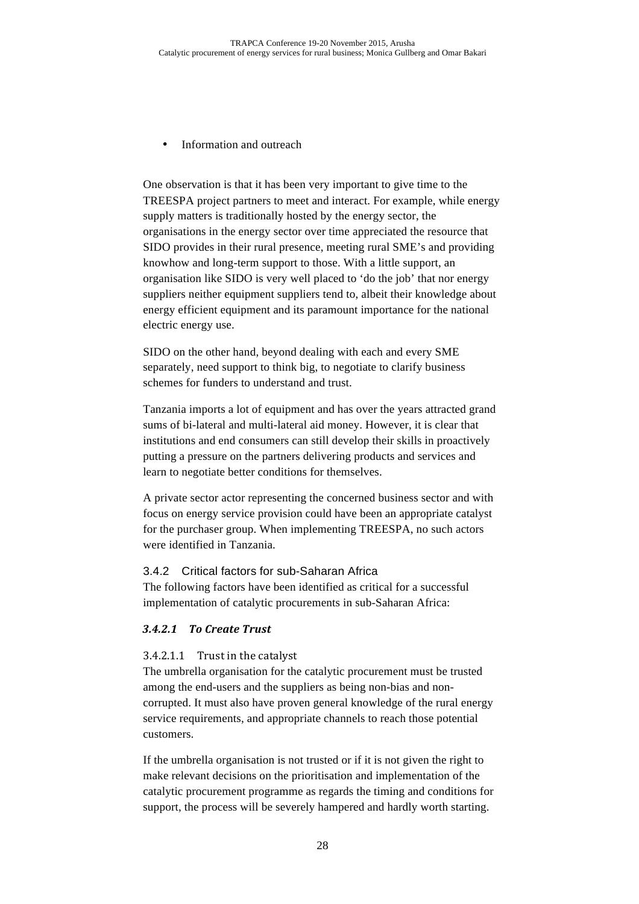Information and outreach

One observation is that it has been very important to give time to the TREESPA project partners to meet and interact. For example, while energy supply matters is traditionally hosted by the energy sector, the organisations in the energy sector over time appreciated the resource that SIDO provides in their rural presence, meeting rural SME's and providing knowhow and long-term support to those. With a little support, an organisation like SIDO is very well placed to 'do the job' that nor energy suppliers neither equipment suppliers tend to, albeit their knowledge about energy efficient equipment and its paramount importance for the national electric energy use.

SIDO on the other hand, beyond dealing with each and every SME separately, need support to think big, to negotiate to clarify business schemes for funders to understand and trust.

Tanzania imports a lot of equipment and has over the years attracted grand sums of bi-lateral and multi-lateral aid money. However, it is clear that institutions and end consumers can still develop their skills in proactively putting a pressure on the partners delivering products and services and learn to negotiate better conditions for themselves.

A private sector actor representing the concerned business sector and with focus on energy service provision could have been an appropriate catalyst for the purchaser group. When implementing TREESPA, no such actors were identified in Tanzania.

#### 3.4.2 Critical factors for sub-Saharan Africa

The following factors have been identified as critical for a successful implementation of catalytic procurements in sub-Saharan Africa:

#### *3.4.2.1 To Create Trust*

#### $3.4.2.1.1$  Trust in the catalyst

The umbrella organisation for the catalytic procurement must be trusted among the end-users and the suppliers as being non-bias and noncorrupted. It must also have proven general knowledge of the rural energy service requirements, and appropriate channels to reach those potential customers.

If the umbrella organisation is not trusted or if it is not given the right to make relevant decisions on the prioritisation and implementation of the catalytic procurement programme as regards the timing and conditions for support, the process will be severely hampered and hardly worth starting.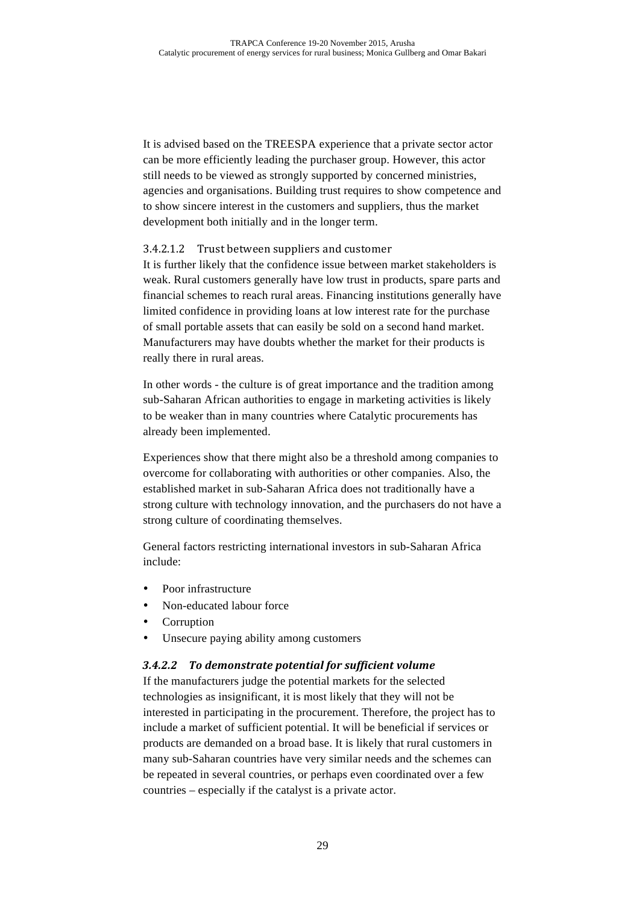It is advised based on the TREESPA experience that a private sector actor can be more efficiently leading the purchaser group. However, this actor still needs to be viewed as strongly supported by concerned ministries, agencies and organisations. Building trust requires to show competence and to show sincere interest in the customers and suppliers, thus the market development both initially and in the longer term.

#### 3.4.2.1.2 Trust between suppliers and customer

It is further likely that the confidence issue between market stakeholders is weak. Rural customers generally have low trust in products, spare parts and financial schemes to reach rural areas. Financing institutions generally have limited confidence in providing loans at low interest rate for the purchase of small portable assets that can easily be sold on a second hand market. Manufacturers may have doubts whether the market for their products is really there in rural areas.

In other words - the culture is of great importance and the tradition among sub-Saharan African authorities to engage in marketing activities is likely to be weaker than in many countries where Catalytic procurements has already been implemented.

Experiences show that there might also be a threshold among companies to overcome for collaborating with authorities or other companies. Also, the established market in sub-Saharan Africa does not traditionally have a strong culture with technology innovation, and the purchasers do not have a strong culture of coordinating themselves.

General factors restricting international investors in sub-Saharan Africa include:

- Poor infrastructure
- Non-educated labour force
- **Corruption**
- Unsecure paying ability among customers

#### *3.4.2.2 To demonstrate potential for sufficient volume*

If the manufacturers judge the potential markets for the selected technologies as insignificant, it is most likely that they will not be interested in participating in the procurement. Therefore, the project has to include a market of sufficient potential. It will be beneficial if services or products are demanded on a broad base. It is likely that rural customers in many sub-Saharan countries have very similar needs and the schemes can be repeated in several countries, or perhaps even coordinated over a few countries – especially if the catalyst is a private actor.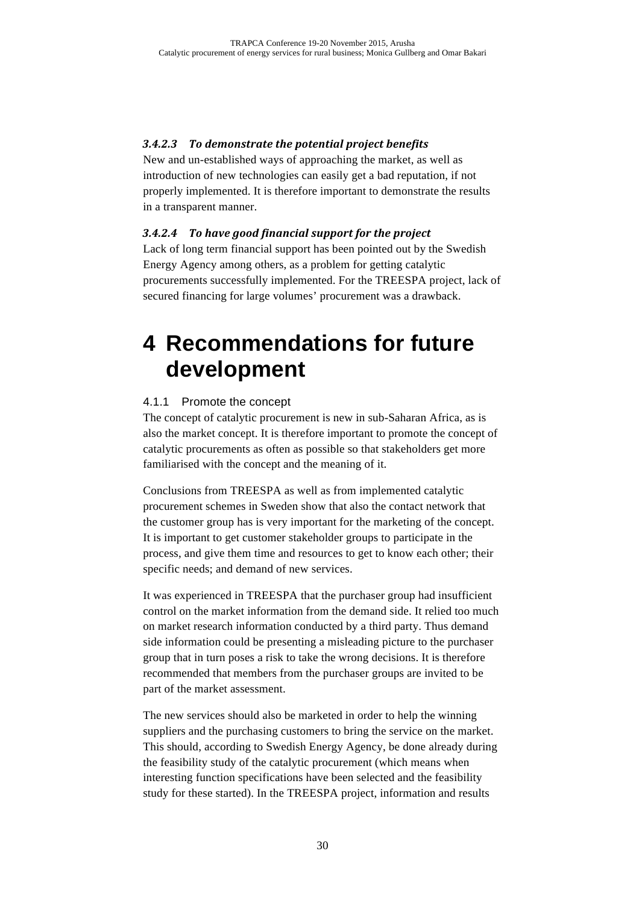# *3.4.2.3 To demonstrate the potential project benefits*

New and un-established ways of approaching the market, as well as introduction of new technologies can easily get a bad reputation, if not properly implemented. It is therefore important to demonstrate the results in a transparent manner.

# *3.4.2.4 To have good financial support for the project*

Lack of long term financial support has been pointed out by the Swedish Energy Agency among others, as a problem for getting catalytic procurements successfully implemented. For the TREESPA project, lack of secured financing for large volumes' procurement was a drawback.

# **4 Recommendations for future development**

# 4.1.1 Promote the concept

The concept of catalytic procurement is new in sub-Saharan Africa, as is also the market concept. It is therefore important to promote the concept of catalytic procurements as often as possible so that stakeholders get more familiarised with the concept and the meaning of it.

Conclusions from TREESPA as well as from implemented catalytic procurement schemes in Sweden show that also the contact network that the customer group has is very important for the marketing of the concept. It is important to get customer stakeholder groups to participate in the process, and give them time and resources to get to know each other; their specific needs; and demand of new services.

It was experienced in TREESPA that the purchaser group had insufficient control on the market information from the demand side. It relied too much on market research information conducted by a third party. Thus demand side information could be presenting a misleading picture to the purchaser group that in turn poses a risk to take the wrong decisions. It is therefore recommended that members from the purchaser groups are invited to be part of the market assessment.

The new services should also be marketed in order to help the winning suppliers and the purchasing customers to bring the service on the market. This should, according to Swedish Energy Agency, be done already during the feasibility study of the catalytic procurement (which means when interesting function specifications have been selected and the feasibility study for these started). In the TREESPA project, information and results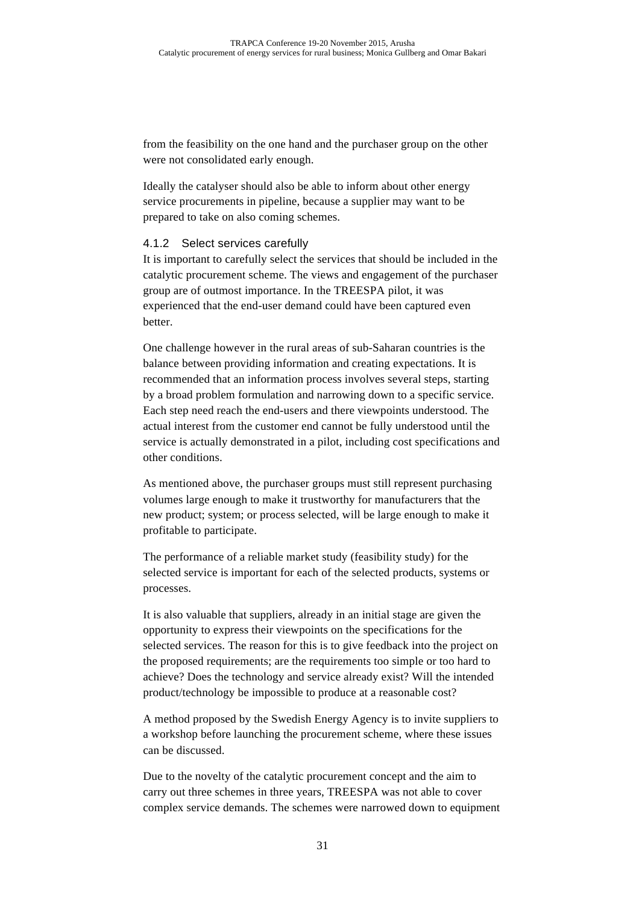from the feasibility on the one hand and the purchaser group on the other were not consolidated early enough.

Ideally the catalyser should also be able to inform about other energy service procurements in pipeline, because a supplier may want to be prepared to take on also coming schemes.

#### 4.1.2 Select services carefully

It is important to carefully select the services that should be included in the catalytic procurement scheme. The views and engagement of the purchaser group are of outmost importance. In the TREESPA pilot, it was experienced that the end-user demand could have been captured even better.

One challenge however in the rural areas of sub-Saharan countries is the balance between providing information and creating expectations. It is recommended that an information process involves several steps, starting by a broad problem formulation and narrowing down to a specific service. Each step need reach the end-users and there viewpoints understood. The actual interest from the customer end cannot be fully understood until the service is actually demonstrated in a pilot, including cost specifications and other conditions.

As mentioned above, the purchaser groups must still represent purchasing volumes large enough to make it trustworthy for manufacturers that the new product; system; or process selected, will be large enough to make it profitable to participate.

The performance of a reliable market study (feasibility study) for the selected service is important for each of the selected products, systems or processes.

It is also valuable that suppliers, already in an initial stage are given the opportunity to express their viewpoints on the specifications for the selected services. The reason for this is to give feedback into the project on the proposed requirements; are the requirements too simple or too hard to achieve? Does the technology and service already exist? Will the intended product/technology be impossible to produce at a reasonable cost?

A method proposed by the Swedish Energy Agency is to invite suppliers to a workshop before launching the procurement scheme, where these issues can be discussed.

Due to the novelty of the catalytic procurement concept and the aim to carry out three schemes in three years, TREESPA was not able to cover complex service demands. The schemes were narrowed down to equipment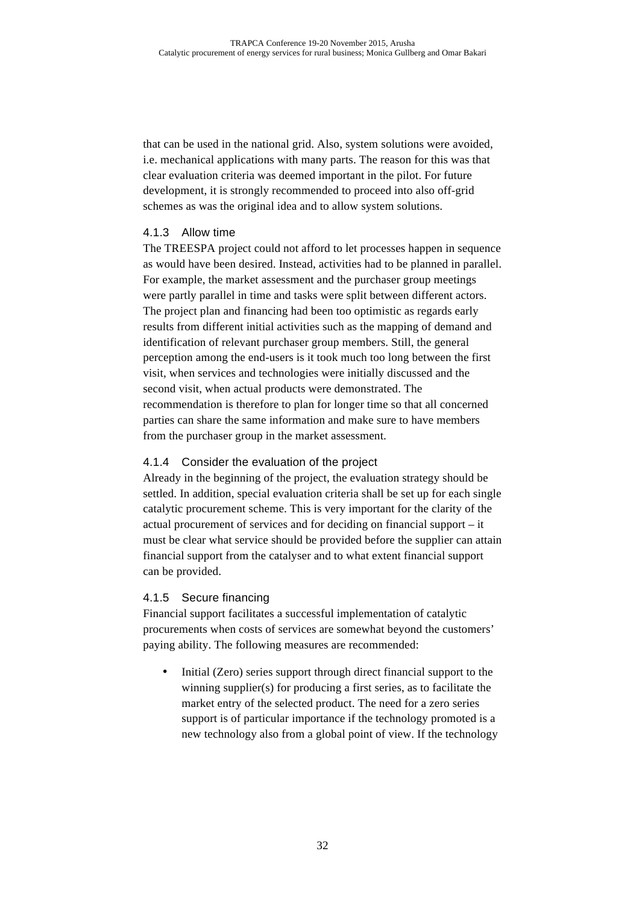that can be used in the national grid. Also, system solutions were avoided, i.e. mechanical applications with many parts. The reason for this was that clear evaluation criteria was deemed important in the pilot. For future development, it is strongly recommended to proceed into also off-grid schemes as was the original idea and to allow system solutions.

#### 4.1.3 Allow time

The TREESPA project could not afford to let processes happen in sequence as would have been desired. Instead, activities had to be planned in parallel. For example, the market assessment and the purchaser group meetings were partly parallel in time and tasks were split between different actors. The project plan and financing had been too optimistic as regards early results from different initial activities such as the mapping of demand and identification of relevant purchaser group members. Still, the general perception among the end-users is it took much too long between the first visit, when services and technologies were initially discussed and the second visit, when actual products were demonstrated. The recommendation is therefore to plan for longer time so that all concerned parties can share the same information and make sure to have members from the purchaser group in the market assessment.

#### 4.1.4 Consider the evaluation of the project

Already in the beginning of the project, the evaluation strategy should be settled. In addition, special evaluation criteria shall be set up for each single catalytic procurement scheme. This is very important for the clarity of the actual procurement of services and for deciding on financial support – it must be clear what service should be provided before the supplier can attain financial support from the catalyser and to what extent financial support can be provided.

#### 4.1.5 Secure financing

Financial support facilitates a successful implementation of catalytic procurements when costs of services are somewhat beyond the customers' paying ability. The following measures are recommended:

• Initial (Zero) series support through direct financial support to the winning supplier(s) for producing a first series, as to facilitate the market entry of the selected product. The need for a zero series support is of particular importance if the technology promoted is a new technology also from a global point of view. If the technology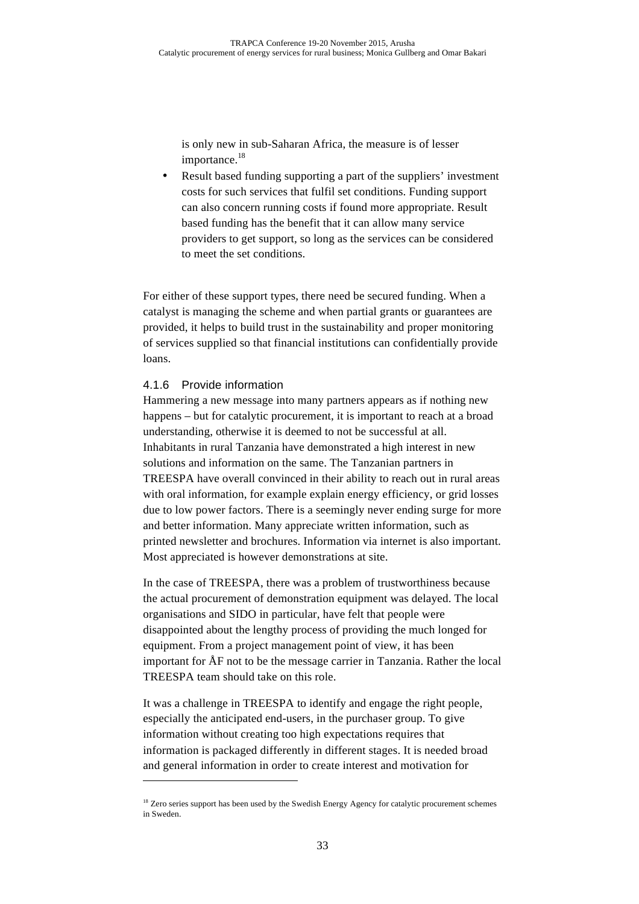is only new in sub-Saharan Africa, the measure is of lesser importance.<sup>18</sup>

• Result based funding supporting a part of the suppliers' investment costs for such services that fulfil set conditions. Funding support can also concern running costs if found more appropriate. Result based funding has the benefit that it can allow many service providers to get support, so long as the services can be considered to meet the set conditions.

For either of these support types, there need be secured funding. When a catalyst is managing the scheme and when partial grants or guarantees are provided, it helps to build trust in the sustainability and proper monitoring of services supplied so that financial institutions can confidentially provide loans.

#### 4.1.6 Provide information

 $\overline{a}$ 

Hammering a new message into many partners appears as if nothing new happens – but for catalytic procurement, it is important to reach at a broad understanding, otherwise it is deemed to not be successful at all. Inhabitants in rural Tanzania have demonstrated a high interest in new solutions and information on the same. The Tanzanian partners in TREESPA have overall convinced in their ability to reach out in rural areas with oral information, for example explain energy efficiency, or grid losses due to low power factors. There is a seemingly never ending surge for more and better information. Many appreciate written information, such as printed newsletter and brochures. Information via internet is also important. Most appreciated is however demonstrations at site.

In the case of TREESPA, there was a problem of trustworthiness because the actual procurement of demonstration equipment was delayed. The local organisations and SIDO in particular, have felt that people were disappointed about the lengthy process of providing the much longed for equipment. From a project management point of view, it has been important for ÅF not to be the message carrier in Tanzania. Rather the local TREESPA team should take on this role.

It was a challenge in TREESPA to identify and engage the right people, especially the anticipated end-users, in the purchaser group. To give information without creating too high expectations requires that information is packaged differently in different stages. It is needed broad and general information in order to create interest and motivation for

<sup>&</sup>lt;sup>18</sup> Zero series support has been used by the Swedish Energy Agency for catalytic procurement schemes in Sweden.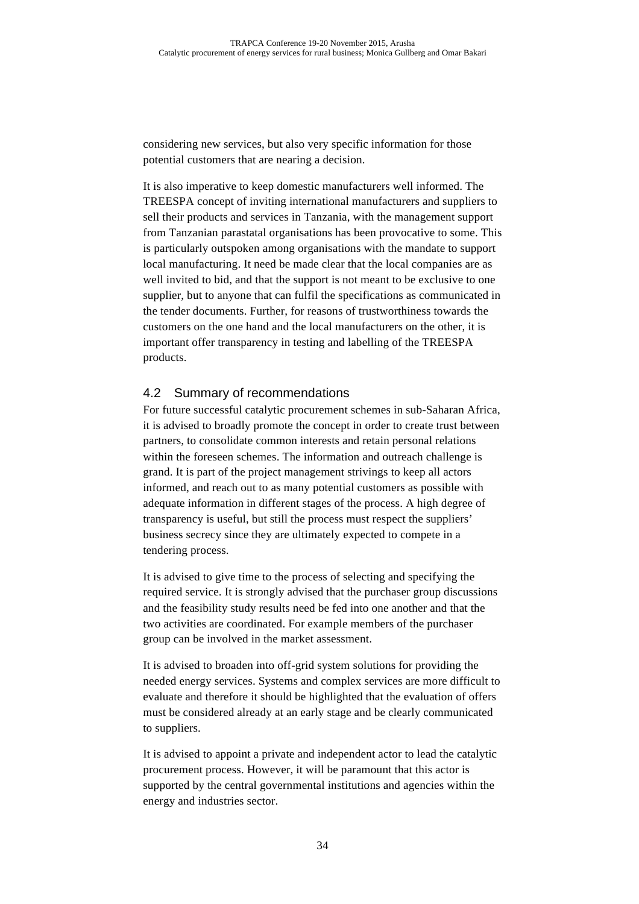considering new services, but also very specific information for those potential customers that are nearing a decision.

It is also imperative to keep domestic manufacturers well informed. The TREESPA concept of inviting international manufacturers and suppliers to sell their products and services in Tanzania, with the management support from Tanzanian parastatal organisations has been provocative to some. This is particularly outspoken among organisations with the mandate to support local manufacturing. It need be made clear that the local companies are as well invited to bid, and that the support is not meant to be exclusive to one supplier, but to anyone that can fulfil the specifications as communicated in the tender documents. Further, for reasons of trustworthiness towards the customers on the one hand and the local manufacturers on the other, it is important offer transparency in testing and labelling of the TREESPA products.

#### 4.2 Summary of recommendations

For future successful catalytic procurement schemes in sub-Saharan Africa, it is advised to broadly promote the concept in order to create trust between partners, to consolidate common interests and retain personal relations within the foreseen schemes. The information and outreach challenge is grand. It is part of the project management strivings to keep all actors informed, and reach out to as many potential customers as possible with adequate information in different stages of the process. A high degree of transparency is useful, but still the process must respect the suppliers' business secrecy since they are ultimately expected to compete in a tendering process.

It is advised to give time to the process of selecting and specifying the required service. It is strongly advised that the purchaser group discussions and the feasibility study results need be fed into one another and that the two activities are coordinated. For example members of the purchaser group can be involved in the market assessment.

It is advised to broaden into off-grid system solutions for providing the needed energy services. Systems and complex services are more difficult to evaluate and therefore it should be highlighted that the evaluation of offers must be considered already at an early stage and be clearly communicated to suppliers.

It is advised to appoint a private and independent actor to lead the catalytic procurement process. However, it will be paramount that this actor is supported by the central governmental institutions and agencies within the energy and industries sector.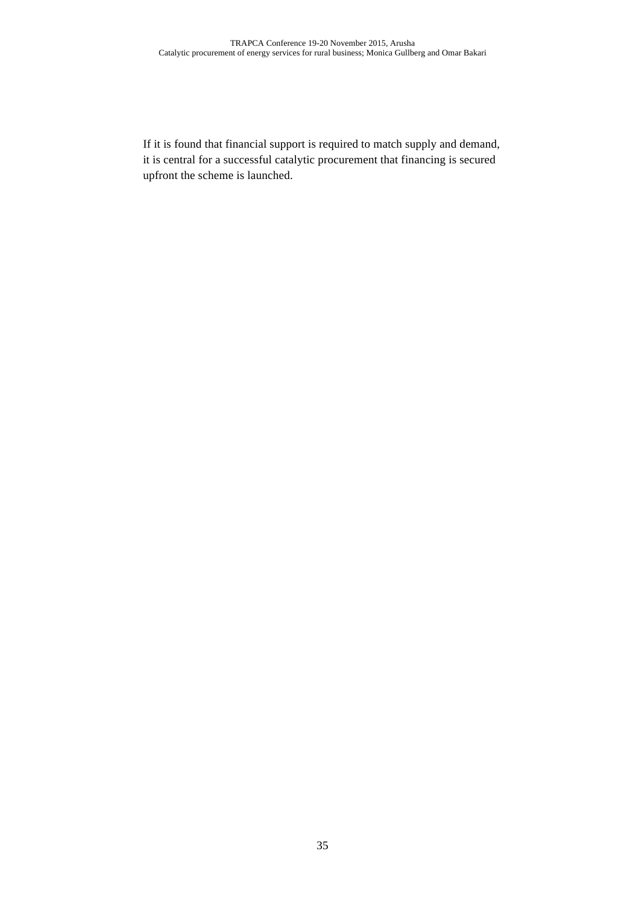If it is found that financial support is required to match supply and demand, it is central for a successful catalytic procurement that financing is secured upfront the scheme is launched.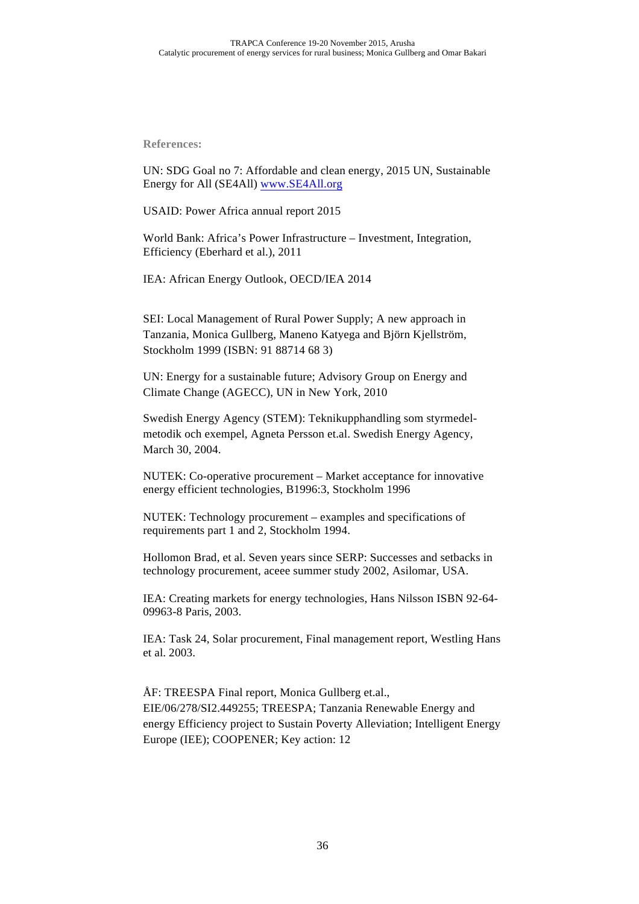**References:**

UN: SDG Goal no 7: Affordable and clean energy, 2015 UN, Sustainable Energy for All (SE4All) www.SE4All.org

USAID: Power Africa annual report 2015

World Bank: Africa's Power Infrastructure – Investment, Integration, Efficiency (Eberhard et al.), 2011

IEA: African Energy Outlook, OECD/IEA 2014

SEI: Local Management of Rural Power Supply; A new approach in Tanzania, Monica Gullberg, Maneno Katyega and Björn Kjellström, Stockholm 1999 (ISBN: 91 88714 68 3)

UN: Energy for a sustainable future; Advisory Group on Energy and Climate Change (AGECC), UN in New York, 2010

Swedish Energy Agency (STEM): Teknikupphandling som styrmedelmetodik och exempel, Agneta Persson et.al. Swedish Energy Agency, March 30, 2004.

NUTEK: Co-operative procurement – Market acceptance for innovative energy efficient technologies, B1996:3, Stockholm 1996

NUTEK: Technology procurement – examples and specifications of requirements part 1 and 2, Stockholm 1994.

Hollomon Brad, et al. Seven years since SERP: Successes and setbacks in technology procurement, aceee summer study 2002, Asilomar, USA.

IEA: Creating markets for energy technologies, Hans Nilsson ISBN 92-64- 09963-8 Paris, 2003.

IEA: Task 24, Solar procurement, Final management report, Westling Hans et al. 2003.

ÅF: TREESPA Final report, Monica Gullberg et.al., EIE/06/278/SI2.449255; TREESPA; Tanzania Renewable Energy and energy Efficiency project to Sustain Poverty Alleviation; Intelligent Energy Europe (IEE); COOPENER; Key action: 12